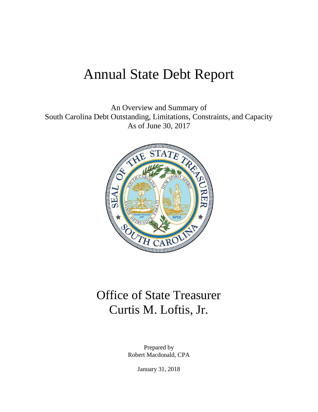# Annual State Debt Report

An Overview and Summary of South Carolina Debt Outstanding, Limitations, Constraints, and Capacity As of June 30, 2017



# Office of State Treasurer Curtis M. Loftis, Jr.

Prepared by Robert Macdonald, CPA

January 31, 2018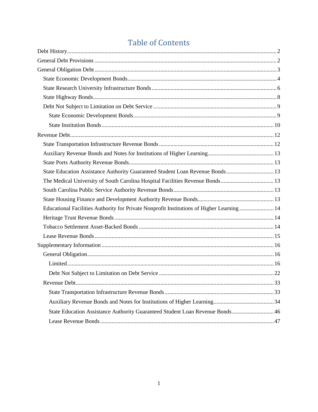# **Table of Contents**

| State Education Assistance Authority Guaranteed Student Loan Revenue Bonds  13             |  |
|--------------------------------------------------------------------------------------------|--|
| The Medical University of South Carolina Hospital Facilities Revenue Bonds13               |  |
|                                                                                            |  |
|                                                                                            |  |
| Educational Facilities Authority for Private Nonprofit Institutions of Higher Learning  14 |  |
|                                                                                            |  |
|                                                                                            |  |
|                                                                                            |  |
|                                                                                            |  |
|                                                                                            |  |
|                                                                                            |  |
|                                                                                            |  |
|                                                                                            |  |
|                                                                                            |  |
|                                                                                            |  |
| State Education Assistance Authority Guaranteed Student Loan Revenue Bonds 46              |  |
|                                                                                            |  |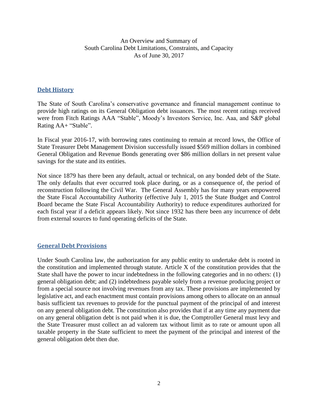An Overview and Summary of South Carolina Debt Limitations, Constraints, and Capacity As of June 30, 2017

## <span id="page-2-0"></span>**Debt History**

The State of South Carolina's conservative governance and financial management continue to provide high ratings on its General Obligation debt issuances. The most recent ratings received were from Fitch Ratings AAA "Stable", Moody's Investors Service, Inc. Aaa, and S&P global Rating AA+ "Stable".

In Fiscal year 2016-17, with borrowing rates continuing to remain at record lows, the Office of State Treasurer Debt Management Division successfully issued \$569 million dollars in combined General Obligation and Revenue Bonds generating over \$86 million dollars in net present value savings for the state and its entities.

Not since 1879 has there been any default, actual or technical, on any bonded debt of the State. The only defaults that ever occurred took place during, or as a consequence of, the period of reconstruction following the Civil War. The General Assembly has for many years empowered the State Fiscal Accountability Authority (effective July 1, 2015 the State Budget and Control Board became the State Fiscal Accountability Authority) to reduce expenditures authorized for each fiscal year if a deficit appears likely. Not since 1932 has there been any incurrence of debt from external sources to fund operating deficits of the State.

#### <span id="page-2-1"></span>**General Debt Provisions**

Under South Carolina law, the authorization for any public entity to undertake debt is rooted in the constitution and implemented through statute. Article X of the constitution provides that the State shall have the power to incur indebtedness in the following categories and in no others: (1) general obligation debt; and (2) indebtedness payable solely from a revenue producing project or from a special source not involving revenues from any tax. These provisions are implemented by legislative act, and each enactment must contain provisions among others to allocate on an annual basis sufficient tax revenues to provide for the punctual payment of the principal of and interest on any general obligation debt. The constitution also provides that if at any time any payment due on any general obligation debt is not paid when it is due, the Comptroller General must levy and the State Treasurer must collect an ad valorem tax without limit as to rate or amount upon all taxable property in the State sufficient to meet the payment of the principal and interest of the general obligation debt then due.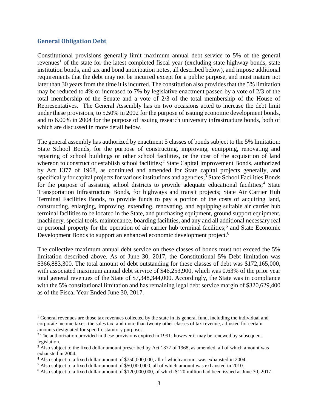#### <span id="page-3-0"></span>**General Obligation Debt**

 $\overline{a}$ 

Constitutional provisions generally limit maximum annual debt service to 5% of the general revenues<sup>1</sup> of the state for the latest completed fiscal year (excluding state highway bonds, state institution bonds, and tax and bond anticipation notes, all described below), and impose additional requirements that the debt may not be incurred except for a public purpose, and must mature not later than 30 years from the time it is incurred. The constitution also provides that the 5% limitation may be reduced to 4% or increased to 7% by legislative enactment passed by a vote of 2/3 of the total membership of the Senate and a vote of 2/3 of the total membership of the House of Representatives. The General Assembly has on two occasions acted to increase the debt limit under these provisions, to 5.50% in 2002 for the purpose of issuing economic development bonds, and to 6.00% in 2004 for the purpose of issuing research university infrastructure bonds, both of which are discussed in more detail below.

The general assembly has authorized by enactment 5 classes of bonds subject to the 5% limitation: State School Bonds, for the purpose of constructing, improving, equipping, renovating and repairing of school buildings or other school facilities, or the cost of the acquisition of land whereon to construct or establish school facilities;<sup>2</sup> State Capital Improvement Bonds, authorized by Act 1377 of 1968, as continued and amended for State capital projects generally, and specifically for capital projects for various institutions and agencies;<sup>3</sup> State School Facilities Bonds for the purpose of assisting school districts to provide adequate educational facilities;<sup>4</sup> State Transportation Infrastructure Bonds, for highways and transit projects; State Air Carrier Hub Terminal Facilities Bonds, to provide funds to pay a portion of the costs of acquiring land, constructing, enlarging, improving, extending, renovating, and equipping suitable air carrier hub terminal facilities to be located in the State, and purchasing equipment, ground support equipment, machinery, special tools, maintenance, boarding facilities, and any and all additional necessary real or personal property for the operation of air carrier hub terminal facilities;<sup>5</sup> and State Economic Development Bonds to support an enhanced economic development project.<sup>6</sup>

The collective maximum annual debt service on these classes of bonds must not exceed the 5% limitation described above. As of June 30, 2017, the Constitutional 5% Debt limitation was \$366,883,300. The total amount of debt outstanding for these classes of debt was \$172,165,000, with associated maximum annual debt service of \$46,253,900, which was 0.63% of the prior year total general revenues of the State of \$7,348,344,000. Accordingly, the State was in compliance with the 5% constitutional limitation and has remaining legal debt service margin of \$320,629,400 as of the Fiscal Year Ended June 30, 2017.

<sup>&</sup>lt;sup>1</sup> General revenues are those tax revenues collected by the state in its general fund, including the individual and corporate income taxes, the sales tax, and more than twenty other classes of tax revenue, adjusted for certain amounts designated for specific statutory purposes.

 $2$  The authorization provided in these provisions expired in 1991; however it may be renewed by subsequent legislation.

<sup>&</sup>lt;sup>3</sup> Also subject to the fixed dollar amount prescribed by Act 1377 of 1968, as amended, all of which amount was exhausted in 2004.

<sup>4</sup> Also subject to a fixed dollar amount of \$750,000,000, all of which amount was exhausted in 2004.

<sup>5</sup> Also subject to a fixed dollar amount of \$50,000,000, all of which amount was exhausted in 2010.

<sup>&</sup>lt;sup>6</sup> Also subject to a fixed dollar amount of \$120,000,000, of which \$120 million had been issued at June 30, 2017.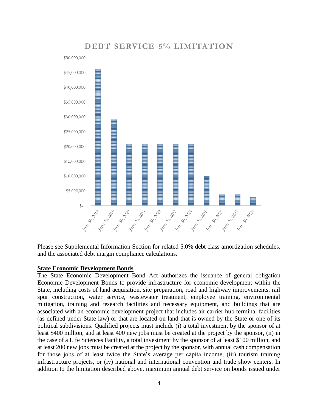

## DEBT SERVICE 5% LIMITATION

Please see Supplemental Information Section for related 5.0% debt class amortization schedules, and the associated debt margin compliance calculations.

#### <span id="page-4-0"></span>**State Economic Development Bonds**

The State Economic Development Bond Act authorizes the issuance of general obligation Economic Development Bonds to provide infrastructure for economic development within the State, including costs of land acquisition, site preparation, road and highway improvements, rail spur construction, water service, wastewater treatment, employee training, environmental mitigation, training and research facilities and necessary equipment, and buildings that are associated with an economic development project that includes air carrier hub terminal facilities (as defined under State law) or that are located on land that is owned by the State or one of its political subdivisions. Qualified projects must include (i) a total investment by the sponsor of at least \$400 million, and at least 400 new jobs must be created at the project by the sponsor, (ii) in the case of a Life Sciences Facility, a total investment by the sponsor of at least \$100 million, and at least 200 new jobs must be created at the project by the sponsor, with annual cash compensation for those jobs of at least twice the State's average per capita income, (iii) tourism training infrastructure projects, or (iv) national and international convention and trade show centers. In addition to the limitation described above, maximum annual debt service on bonds issued under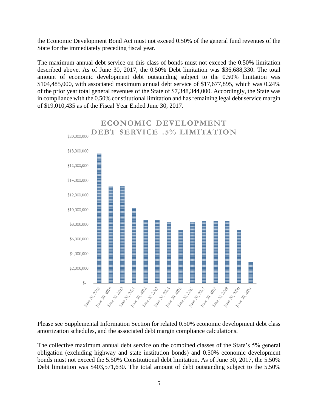the Economic Development Bond Act must not exceed 0.50% of the general fund revenues of the State for the immediately preceding fiscal year.

The maximum annual debt service on this class of bonds must not exceed the 0.50% limitation described above. As of June 30, 2017, the 0.50% Debt limitation was \$36,688,330. The total amount of economic development debt outstanding subject to the 0.50% limitation was \$104,485,000, with associated maximum annual debt service of \$17,677,895, which was 0.24% of the prior year total general revenues of the State of \$7,348,344,000. Accordingly, the State was in compliance with the 0.50% constitutional limitation and has remaining legal debt service margin of \$19,010,435 as of the Fiscal Year Ended June 30, 2017.



Please see Supplemental Information Section for related 0.50% economic development debt class amortization schedules, and the associated debt margin compliance calculations.

The collective maximum annual debt service on the combined classes of the State's 5% general obligation (excluding highway and state institution bonds) and 0.50% economic development bonds must not exceed the 5.50% Constitutional debt limitation. As of June 30, 2017, the 5.50% Debt limitation was \$403,571,630. The total amount of debt outstanding subject to the 5.50%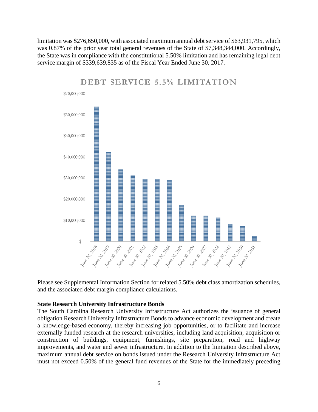limitation was \$276,650,000, with associated maximum annual debt service of \$63,931,795, which was 0.87% of the prior year total general revenues of the State of \$7,348,344,000. Accordingly, the State was in compliance with the constitutional 5.50% limitation and has remaining legal debt service margin of \$339,639,835 as of the Fiscal Year Ended June 30, 2017.



## **DEBT SERVICE 5.5% LIMITATION**

Please see Supplemental Information Section for related 5.50% debt class amortization schedules, and the associated debt margin compliance calculations.

#### <span id="page-6-0"></span>**State Research University Infrastructure Bonds**

The South Carolina Research University Infrastructure Act authorizes the issuance of general obligation Research University Infrastructure Bonds to advance economic development and create a knowledge-based economy, thereby increasing job opportunities, or to facilitate and increase externally funded research at the research universities, including land acquisition, acquisition or construction of buildings, equipment, furnishings, site preparation, road and highway improvements, and water and sewer infrastructure. In addition to the limitation described above, maximum annual debt service on bonds issued under the Research University Infrastructure Act must not exceed 0.50% of the general fund revenues of the State for the immediately preceding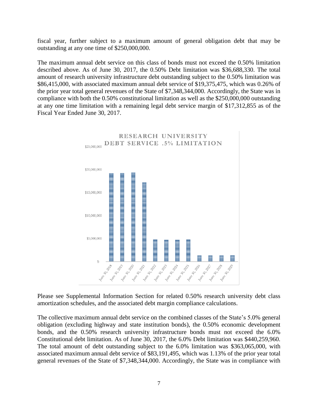fiscal year, further subject to a maximum amount of general obligation debt that may be outstanding at any one time of \$250,000,000.

The maximum annual debt service on this class of bonds must not exceed the 0.50% limitation described above. As of June 30, 2017, the 0.50% Debt limitation was \$36,688,330. The total amount of research university infrastructure debt outstanding subject to the 0.50% limitation was \$86,415,000, with associated maximum annual debt service of \$19,375,475, which was 0.26% of the prior year total general revenues of the State of \$7,348,344,000. Accordingly, the State was in compliance with both the 0.50% constitutional limitation as well as the \$250,000,000 outstanding at any one time limitation with a remaining legal debt service margin of \$17,312,855 as of the Fiscal Year Ended June 30, 2017.



Please see Supplemental Information Section for related 0.50% research university debt class amortization schedules, and the associated debt margin compliance calculations.

The collective maximum annual debt service on the combined classes of the State's 5.0% general obligation (excluding highway and state institution bonds), the 0.50% economic development bonds, and the 0.50% research university infrastructure bonds must not exceed the 6.0% Constitutional debt limitation. As of June 30, 2017, the 6.0% Debt limitation was \$440,259,960. The total amount of debt outstanding subject to the 6.0% limitation was \$363,065,000, with associated maximum annual debt service of \$83,191,495, which was 1.13% of the prior year total general revenues of the State of \$7,348,344,000. Accordingly, the State was in compliance with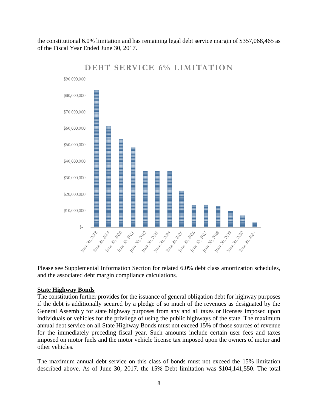the constitutional 6.0% limitation and has remaining legal debt service margin of \$357,068,465 as of the Fiscal Year Ended June 30, 2017.



**DEBT SERVICE 6% LIMITATION** 

Please see Supplemental Information Section for related 6.0% debt class amortization schedules, and the associated debt margin compliance calculations.

#### <span id="page-8-0"></span>**State Highway Bonds**

The constitution further provides for the issuance of general obligation debt for highway purposes if the debt is additionally secured by a pledge of so much of the revenues as designated by the General Assembly for state highway purposes from any and all taxes or licenses imposed upon individuals or vehicles for the privilege of using the public highways of the state. The maximum annual debt service on all State Highway Bonds must not exceed 15% of those sources of revenue for the immediately preceding fiscal year. Such amounts include certain user fees and taxes imposed on motor fuels and the motor vehicle license tax imposed upon the owners of motor and other vehicles.

The maximum annual debt service on this class of bonds must not exceed the 15% limitation described above. As of June 30, 2017, the 15% Debt limitation was \$104,141,550. The total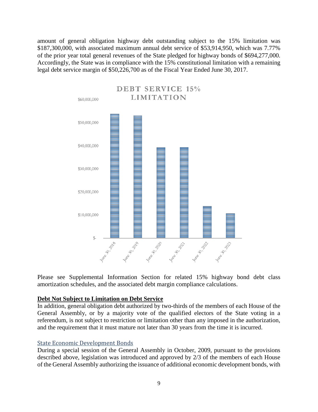amount of general obligation highway debt outstanding subject to the 15% limitation was \$187,300,000, with associated maximum annual debt service of \$53,914,950, which was 7.77% of the prior year total general revenues of the State pledged for highway bonds of \$694,277,000. Accordingly, the State was in compliance with the 15% constitutional limitation with a remaining legal debt service margin of \$50,226,700 as of the Fiscal Year Ended June 30, 2017.



Please see Supplemental Information Section for related 15% highway bond debt class amortization schedules, and the associated debt margin compliance calculations.

#### <span id="page-9-0"></span>**Debt Not Subject to Limitation on Debt Service**

In addition, general obligation debt authorized by two-thirds of the members of each House of the General Assembly, or by a majority vote of the qualified electors of the State voting in a referendum, is not subject to restriction or limitation other than any imposed in the authorization, and the requirement that it must mature not later than 30 years from the time it is incurred.

#### <span id="page-9-1"></span>State Economic Development Bonds

During a special session of the General Assembly in October, 2009, pursuant to the provisions described above, legislation was introduced and approved by 2/3 of the members of each House of the General Assembly authorizing the issuance of additional economic development bonds, with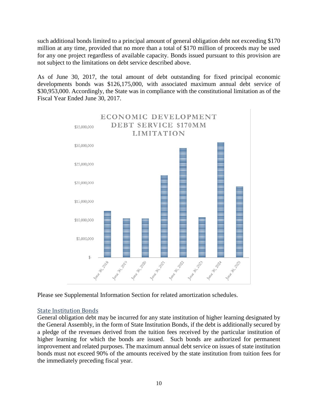such additional bonds limited to a principal amount of general obligation debt not exceeding \$170 million at any time, provided that no more than a total of \$170 million of proceeds may be used for any one project regardless of available capacity. Bonds issued pursuant to this provision are not subject to the limitations on debt service described above.

As of June 30, 2017, the total amount of debt outstanding for fixed principal economic developments bonds was \$126,175,000, with associated maximum annual debt service of \$30,953,000. Accordingly, the State was in compliance with the constitutional limitation as of the Fiscal Year Ended June 30, 2017.



Please see Supplemental Information Section for related amortization schedules.

## <span id="page-10-0"></span>State Institution Bonds

General obligation debt may be incurred for any state institution of higher learning designated by the General Assembly, in the form of State Institution Bonds, if the debt is additionally secured by a pledge of the revenues derived from the tuition fees received by the particular institution of higher learning for which the bonds are issued. Such bonds are authorized for permanent improvement and related purposes. The maximum annual debt service on issues of state institution bonds must not exceed 90% of the amounts received by the state institution from tuition fees for the immediately preceding fiscal year.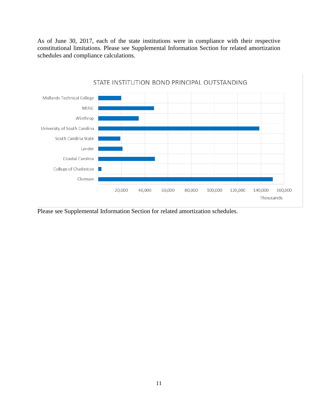As of June 30, 2017, each of the state institutions were in compliance with their respective constitutional limitations. Please see Supplemental Information Section for related amortization schedules and compliance calculations.



#### STATE INSTITUTION BOND PRINCIPAL OUTSTANDING

Please see Supplemental Information Section for related amortization schedules.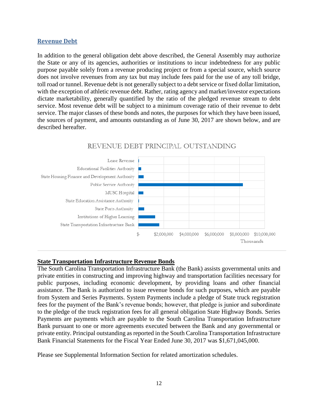#### <span id="page-12-0"></span>**Revenue Debt**

In addition to the general obligation debt above described, the General Assembly may authorize the State or any of its agencies, authorities or institutions to incur indebtedness for any public purpose payable solely from a revenue producing project or from a special source, which source does not involve revenues from any tax but may include fees paid for the use of any toll bridge, toll road or tunnel. Revenue debt is not generally subject to a debt service or fixed dollar limitation, with the exception of athletic revenue debt. Rather, rating agency and market/investor expectations dictate marketability, generally quantified by the ratio of the pledged revenue stream to debt service. Most revenue debt will be subject to a minimum coverage ratio of their revenue to debt service. The major classes of these bonds and notes, the purposes for which they have been issued, the sources of payment, and amounts outstanding as of June 30, 2017 are shown below, and are described hereafter.

## REVENUE DEBT PRINCIPAL OUTSTANDING



#### <span id="page-12-1"></span>**State Transportation Infrastructure Revenue Bonds**

The South Carolina Transportation Infrastructure Bank (the Bank) assists governmental units and private entities in constructing and improving highway and transportation facilities necessary for public purposes, including economic development, by providing loans and other financial assistance. The Bank is authorized to issue revenue bonds for such purposes, which are payable from System and Series Payments. System Payments include a pledge of State truck registration fees for the payment of the Bank's revenue bonds; however, that pledge is junior and subordinate to the pledge of the truck registration fees for all general obligation State Highway Bonds. Series Payments are payments which are payable to the South Carolina Transportation Infrastructure Bank pursuant to one or more agreements executed between the Bank and any governmental or private entity. Principal outstanding as reported in the South Carolina Transportation Infrastructure Bank Financial Statements for the Fiscal Year Ended June 30, 2017 was \$1,671,045,000.

Please see Supplemental Information Section for related amortization schedules.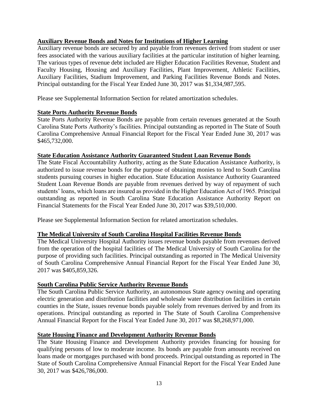## <span id="page-13-0"></span>**Auxiliary Revenue Bonds and Notes for Institutions of Higher Learning**

Auxiliary revenue bonds are secured by and payable from revenues derived from student or user fees associated with the various auxiliary facilities at the particular institution of higher learning. The various types of revenue debt included are Higher Education Facilities Revenue, Student and Faculty Housing, Housing and Auxiliary Facilities, Plant Improvement, Athletic Facilities, Auxiliary Facilities, Stadium Improvement, and Parking Facilities Revenue Bonds and Notes. Principal outstanding for the Fiscal Year Ended June 30, 2017 was \$1,334,987,595.

Please see Supplemental Information Section for related amortization schedules.

## <span id="page-13-1"></span>**State Ports Authority Revenue Bonds**

State Ports Authority Revenue Bonds are payable from certain revenues generated at the South Carolina State Ports Authority's facilities. Principal outstanding as reported in The State of South Carolina Comprehensive Annual Financial Report for the Fiscal Year Ended June 30, 2017 was \$465,732,000.

## <span id="page-13-2"></span>**State Education Assistance Authority Guaranteed Student Loan Revenue Bonds**

The State Fiscal Accountability Authority, acting as the State Education Assistance Authority, is authorized to issue revenue bonds for the purpose of obtaining monies to lend to South Carolina students pursuing courses in higher education. State Education Assistance Authority Guaranteed Student Loan Revenue Bonds are payable from revenues derived by way of repayment of such students' loans, which loans are insured as provided in the Higher Education Act of 1965. Principal outstanding as reported in South Carolina State Education Assistance Authority Report on Financial Statements for the Fiscal Year Ended June 30, 2017 was \$39,510,000.

Please see Supplemental Information Section for related amortization schedules.

## <span id="page-13-3"></span>**The Medical University of South Carolina Hospital Facilities Revenue Bonds**

The Medical University Hospital Authority issues revenue bonds payable from revenues derived from the operation of the hospital facilities of The Medical University of South Carolina for the purpose of providing such facilities. Principal outstanding as reported in The Medical University of South Carolina Comprehensive Annual Financial Report for the Fiscal Year Ended June 30, 2017 was \$405,859,326.

## <span id="page-13-4"></span>**South Carolina Public Service Authority Revenue Bonds**

The South Carolina Public Service Authority, an autonomous State agency owning and operating electric generation and distribution facilities and wholesale water distribution facilities in certain counties in the State, issues revenue bonds payable solely from revenues derived by and from its operations. Principal outstanding as reported in The State of South Carolina Comprehensive Annual Financial Report for the Fiscal Year Ended June 30, 2017 was \$8,268,971,000.

## <span id="page-13-5"></span>**State Housing Finance and Development Authority Revenue Bonds**

The State Housing Finance and Development Authority provides financing for housing for qualifying persons of low to moderate income. Its bonds are payable from amounts received on loans made or mortgages purchased with bond proceeds. Principal outstanding as reported in The State of South Carolina Comprehensive Annual Financial Report for the Fiscal Year Ended June 30, 2017 was \$426,786,000.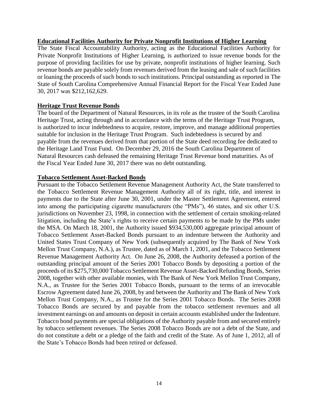#### <span id="page-14-0"></span>**Educational Facilities Authority for Private Nonprofit Institutions of Higher Learning**

The State Fiscal Accountability Authority, acting as the Educational Facilities Authority for Private Nonprofit Institutions of Higher Learning, is authorized to issue revenue bonds for the purpose of providing facilities for use by private, nonprofit institutions of higher learning. Such revenue bonds are payable solely from revenues derived from the leasing and sale of such facilities or loaning the proceeds of such bonds to such institutions. Principal outstanding as reported in The State of South Carolina Comprehensive Annual Financial Report for the Fiscal Year Ended June 30, 2017 was \$212,162,629.

## <span id="page-14-1"></span>**Heritage Trust Revenue Bonds**

The board of the Department of Natural Resources, in its role as the trustee of the South Carolina Heritage Trust, acting through and in accordance with the terms of the Heritage Trust Program, is authorized to incur indebtedness to acquire, restore, improve, and manage additional properties suitable for inclusion in the Heritage Trust Program. Such indebtedness is secured by and payable from the revenues derived from that portion of the State deed recording fee dedicated to the Heritage Land Trust Fund. On December 29, 2016 the South Carolina Department of Natural Resources cash defeased the remaining Heritage Trust Revenue bond maturities. As of the Fiscal Year Ended June 30, 2017 there was no debt outstanding.

## <span id="page-14-2"></span>**Tobacco Settlement Asset-Backed Bonds**

Pursuant to the Tobacco Settlement Revenue Management Authority Act, the State transferred to the Tobacco Settlement Revenue Management Authority all of its right, title, and interest in payments due to the State after June 30, 2001, under the Master Settlement Agreement, entered into among the participating cigarette manufacturers (the "PMs"), 46 states, and six other U.S. jurisdictions on November 23, 1998, in connection with the settlement of certain smoking-related litigation, including the State's rights to receive certain payments to be made by the PMs under the MSA. On March 18, 2001, the Authority issued \$934,530,000 aggregate principal amount of Tobacco Settlement Asset-Backed Bonds pursuant to an indenture between the Authority and United States Trust Company of New York (subsequently acquired by The Bank of New York Mellon Trust Company, N.A.), as Trustee, dated as of March 1, 2001, and the Tobacco Settlement Revenue Management Authority Act. On June 26, 2008, the Authority defeased a portion of the outstanding principal amount of the Series 2001 Tobacco Bonds by depositing a portion of the proceeds of its \$275,730,000 Tobacco Settlement Revenue Asset-Backed Refunding Bonds, Series 2008, together with other available monies, with The Bank of New York Mellon Trust Company, N.A., as Trustee for the Series 2001 Tobacco Bonds, pursuant to the terms of an irrevocable Escrow Agreement dated June 26, 2008, by and between the Authority and The Bank of New York Mellon Trust Company, N.A., as Trustee for the Series 2001 Tobacco Bonds. The Series 2008 Tobacco Bonds are secured by and payable from the tobacco settlement revenues and all investment earnings on and amounts on deposit in certain accounts established under the Indenture. Tobacco bond payments are special obligations of the Authority payable from and secured entirely by tobacco settlement revenues. The Series 2008 Tobacco Bonds are not a debt of the State, and do not constitute a debt or a pledge of the faith and credit of the State. As of June 1, 2012, all of the State's Tobacco Bonds had been retired or defeased.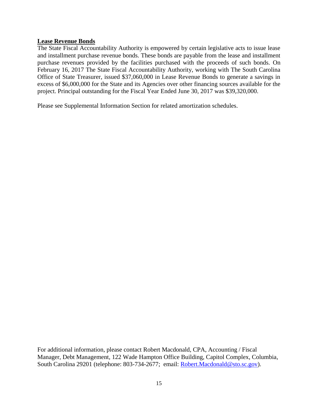#### <span id="page-15-0"></span>**Lease Revenue Bonds**

The State Fiscal Accountability Authority is empowered by certain legislative acts to issue lease and installment purchase revenue bonds. These bonds are payable from the lease and installment purchase revenues provided by the facilities purchased with the proceeds of such bonds. On February 16, 2017 The State Fiscal Accountability Authority, working with The South Carolina Office of State Treasurer, issued \$37,060,000 in Lease Revenue Bonds to generate a savings in excess of \$6,000,000 for the State and its Agencies over other financing sources available for the project. Principal outstanding for the Fiscal Year Ended June 30, 2017 was \$39,320,000.

Please see Supplemental Information Section for related amortization schedules.

For additional information, please contact Robert Macdonald, CPA, Accounting / Fiscal Manager, Debt Management, 122 Wade Hampton Office Building, Capitol Complex, Columbia, South Carolina 29201 (telephone: 803-734-2677; email: [Robert.Macdonald@sto.sc.gov\)](mailto:Robert.Macdonald@sto.sc.gov).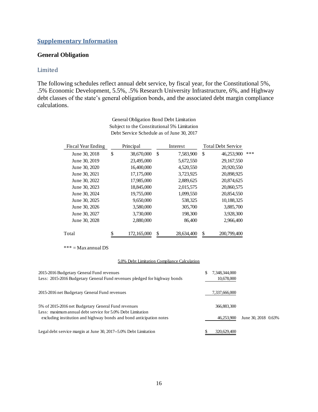#### <span id="page-16-0"></span>**Supplementary Information**

#### <span id="page-16-1"></span>**General Obligation**

#### <span id="page-16-2"></span>Limited

The following schedules reflect annual debt service, by fiscal year, for the Constitutional 5%, .5% Economic Development, 5.5%, .5% Research University Infrastructure, 6%, and Highway debt classes of the state's general obligation bonds, and the associated debt margin compliance calculations.

| Fiscal Year Ending | Principal        | Interest         | <b>Total Debt Service</b> |     |
|--------------------|------------------|------------------|---------------------------|-----|
| June 30, 2018      | \$<br>38,670,000 | \$<br>7,583,900  | \$<br>46,253,900          | *** |
| June 30, 2019      | 23,495,000       | 5,672,550        | 29,167,550                |     |
| June 30, 2020      | 16,400,000       | 4,520,550        | 20,920,550                |     |
| June 30, 2021      | 17,175,000       | 3,723,925        | 20,898,925                |     |
| June 30, 2022      | 17,985,000       | 2,889,625        | 20,874,625                |     |
| June 30, 2023      | 18,845,000       | 2,015,575        | 20,860,575                |     |
| June 30, 2024      | 19,755,000       | 1,099,550        | 20,854,550                |     |
| June 30, 2025      | 9.650,000        | 538,325          | 10,188,325                |     |
| June 30, 2026      | 3,580,000        | 305,700          | 3,885,700                 |     |
| June 30, 2027      | 3.730,000        | 198,300          | 3,928,300                 |     |
| June 30, 2028      | 2,880,000        | 86,400           | 2,966,400                 |     |
| Total              | 172,165,000      | \$<br>28,634,400 | \$<br>200,799,400         |     |

General Obligation Bond Debt Limitation Subject to the Constitutional 5% Limitation Debt Service Schedule as of June 30, 2017

\*\*\* = Max annual DS

#### 5.0% Debt Limitation Compliance Calculation

| 2015-2016 Budgetary General Fund revenues<br>Less: 2015-2016 Budgetary General Fund revenues pledged for highway bonds |   | 7,348,344,000<br>10,678,000 |                     |  |
|------------------------------------------------------------------------------------------------------------------------|---|-----------------------------|---------------------|--|
| 2015-2016 net Budgetary General Fund revenues                                                                          |   | 7,337,666,000               |                     |  |
| 5% of 2015-2016 net Budgetary General Fund revenues<br>Less: maximum annual debt service for 5.0% Debt Limitation      |   | 366,883,300                 |                     |  |
| excluding institution and highway bonds and bond anticipation notes                                                    |   | 46.253.900                  | June 30, 2018 0.63% |  |
| Legal debt service margin at June 30, 2017--5.0% Debt Limitation                                                       | S | 320,629,400                 |                     |  |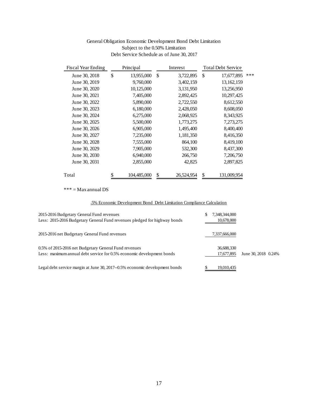#### General Obligation Economic Development Bond Debt Limitation Subject to the 0.50% Limitation Debt Service Schedule as of June 30, 2017

| <b>Fiscal Year Ending</b>                                                                     | Principal                                                            |    | Interest   | <b>Total Debt Service</b>   |         |
|-----------------------------------------------------------------------------------------------|----------------------------------------------------------------------|----|------------|-----------------------------|---------|
| June 30, 2018                                                                                 | \$<br>13,955,000                                                     | \$ | 3,722,895  | \$<br>17,677,895            | ***     |
| June 30, 2019                                                                                 | 9,760,000                                                            |    | 3,402,159  | 13,162,159                  |         |
| June 30, 2020                                                                                 | 10,125,000                                                           |    | 3,131,950  | 13,256,950                  |         |
| June 30, 2021                                                                                 | 7,405,000                                                            |    | 2,892,425  | 10,297,425                  |         |
| June 30, 2022                                                                                 | 5,890,000                                                            |    | 2,722,550  | 8,612,550                   |         |
| June 30, 2023                                                                                 | 6,180,000                                                            |    | 2,428,050  | 8,608,050                   |         |
| June 30, 2024                                                                                 | 6,275,000                                                            |    | 2,068,925  | 8,343,925                   |         |
| June 30, 2025                                                                                 | 5,500,000                                                            |    | 1,773,275  | 7,273,275                   |         |
| June 30, 2026                                                                                 | 6,905,000                                                            |    | 1,495,400  | 8,400,400                   |         |
| June 30, 2027                                                                                 | 7,235,000                                                            |    | 1,181,350  | 8,416,350                   |         |
| June 30, 2028                                                                                 | 7,555,000                                                            |    | 864,100    | 8,419,100                   |         |
| June 30, 2029                                                                                 | 7,905,000                                                            |    | 532,300    | 8,437,300                   |         |
| June 30, 2030                                                                                 | 6,940,000                                                            |    | 266,750    | 7,206,750                   |         |
| June 30, 2031                                                                                 | 2,855,000                                                            |    | 42,825     | 2,897,825                   |         |
|                                                                                               |                                                                      |    |            |                             |         |
| Total                                                                                         | \$<br>104,485,000                                                    | \$ | 26,524,954 | \$<br>131,009,954           |         |
| $*** = Max annual DS$                                                                         |                                                                      |    |            |                             |         |
|                                                                                               |                                                                      |    |            |                             |         |
|                                                                                               | .5% Economic Development Bond Debt Limitation Compliance Calculation |    |            |                             |         |
|                                                                                               |                                                                      |    |            | \$                          |         |
| dgetary General Fund revenues<br>16 Budgetary General Fund revenues pledged for highway bonds |                                                                      |    |            | 7,348,344,000<br>10,678,000 |         |
|                                                                                               |                                                                      |    |            |                             |         |
| <b>Budgetary General Fund revenues</b>                                                        |                                                                      |    |            | 7,337,666,000               |         |
|                                                                                               |                                                                      |    |            |                             |         |
| 2016 net Budgetary General Fund revenues                                                      |                                                                      |    |            | 36,688,330                  |         |
| m annual debt service for 0.5% economic development bonds                                     |                                                                      |    |            | 17,677,895                  | June 30 |
|                                                                                               |                                                                      |    |            |                             |         |
| rvice margin at June 30, 2017--0.5% economic development bonds                                |                                                                      |    |            | \$<br>19,010,435            |         |
|                                                                                               |                                                                      |    |            |                             |         |
|                                                                                               |                                                                      |    |            |                             |         |
|                                                                                               |                                                                      |    |            |                             |         |
|                                                                                               |                                                                      |    |            |                             |         |
|                                                                                               |                                                                      |    |            |                             |         |
|                                                                                               |                                                                      |    |            |                             |         |
|                                                                                               |                                                                      |    |            |                             |         |
|                                                                                               |                                                                      |    |            |                             |         |
|                                                                                               |                                                                      |    |            |                             |         |
|                                                                                               |                                                                      |    |            |                             |         |
|                                                                                               |                                                                      |    |            |                             |         |
|                                                                                               |                                                                      |    |            |                             |         |
|                                                                                               |                                                                      |    |            |                             |         |
|                                                                                               |                                                                      |    |            |                             |         |
|                                                                                               |                                                                      |    |            |                             |         |
|                                                                                               |                                                                      |    |            |                             |         |
|                                                                                               |                                                                      | 17 |            |                             |         |

#### .5% Economic Development Bond Debt Limitation Compliance Calculation

| 2015-2016 Budgetary General Fund revenues<br>Less: 2015-2016 Budgetary General Fund revenues pledged for highway bonds         | 7,348,344,000<br>10,678,000 |                     |
|--------------------------------------------------------------------------------------------------------------------------------|-----------------------------|---------------------|
| 2015-2016 net Budgetary General Fund revenues                                                                                  | 7,337,666,000               |                     |
| 0.5% of 2015-2016 net Budgetary General Fund revenues<br>Less: maximum annual debt service for 0.5% economic development bonds | 36,688,330<br>17,677,895    | June 30, 2018 0.24% |
| Legal debt service margin at June 30, 2017--0.5% economic development bonds                                                    | 19,010,435                  |                     |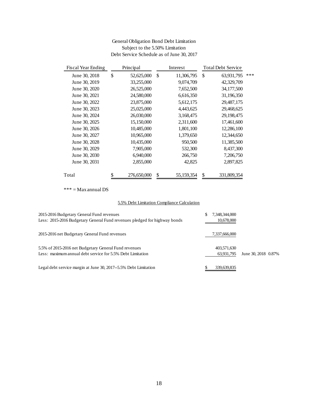#### General Obligation Bond Debt Limitation Subject to the 5.50% Limitation Debt Service Schedule as of June 30, 2017

| <b>Fiscal Year Ending</b>                                                                      | Principal         |    | Interest                                    | <b>Total Debt Service</b>         |         |
|------------------------------------------------------------------------------------------------|-------------------|----|---------------------------------------------|-----------------------------------|---------|
| June 30, 2018                                                                                  | \$<br>52,625,000  | \$ | 11,306,795                                  | \$<br>63,931,795                  | ***     |
| June 30, 2019                                                                                  | 33,255,000        |    | 9,074,709                                   | 42,329,709                        |         |
| June 30, 2020                                                                                  | 26,525,000        |    | 7,652,500                                   | 34,177,500                        |         |
| June 30, 2021                                                                                  | 24,580,000        |    | 6,616,350                                   | 31,196,350                        |         |
| June 30, 2022                                                                                  | 23,875,000        |    | 5,612,175                                   | 29,487,175                        |         |
| June 30, 2023                                                                                  | 25,025,000        |    | 4,443,625                                   | 29,468,625                        |         |
| June 30, 2024                                                                                  | 26,030,000        |    | 3,168,475                                   | 29,198,475                        |         |
| June 30, 2025                                                                                  | 15,150,000        |    | 2,311,600                                   | 17,461,600                        |         |
| June 30, 2026                                                                                  | 10,485,000        |    | 1,801,100                                   | 12,286,100                        |         |
| June 30, 2027                                                                                  | 10,965,000        |    | 1,379,650                                   | 12,344,650                        |         |
| June 30, 2028                                                                                  | 10,435,000        |    | 950,500                                     | 11,385,500                        |         |
| June 30, 2029                                                                                  | 7,905,000         |    | 532,300                                     | 8,437,300                         |         |
| June 30, 2030                                                                                  | 6,940,000         |    | 266,750                                     | 7,206,750                         |         |
| June 30, 2031                                                                                  | 2,855,000         |    | 42,825                                      | 2,897,825                         |         |
| Total                                                                                          | \$<br>276,650,000 | \$ | 55,159,354                                  | \$<br>331,809,354                 |         |
| *** = $Max$ annual DS                                                                          |                   |    |                                             |                                   |         |
|                                                                                                |                   |    | 5.5% Debt Limitation Compliance Calculation |                                   |         |
| dgetary General Fund revenues<br>016 Budgetary General Fund revenues pledged for highway bonds |                   |    |                                             | \$<br>7,348,344,000<br>10,678,000 |         |
| Budgetary General Fund revenues                                                                |                   |    |                                             | 7,337,666,000                     |         |
| 2016 net Budgetary General Fund revenues<br>im annual debt service for 5.5% Debt Limitation    |                   |    |                                             | 403,571,630<br>63,931,795         | June 30 |
| rvice margin at June 30, 2017--5.5% Debt Limitation                                            |                   |    |                                             | \$<br>339,639,835                 |         |
|                                                                                                |                   |    |                                             |                                   |         |
|                                                                                                |                   | 18 |                                             |                                   |         |

#### 5.5% Debt Limitation Compliance Calculation

| 2015-2016 Budgetary General Fund revenues<br>Less: 2015-2016 Budgetary General Fund revenues pledged for highway bonds | 7,348,344,000<br>10,678,000 |                     |
|------------------------------------------------------------------------------------------------------------------------|-----------------------------|---------------------|
| 2015-2016 net Budgetary General Fund revenues                                                                          | 7,337,666,000               |                     |
| 5.5% of 2015-2016 net Budgetary General Fund revenues<br>Less: maximum annual debt service for 5.5% Debt Limitation    | 403,571,630<br>63,931,795   | June 30, 2018 0.87% |
| Legal debt service margin at June 30, 2017--5.5% Debt Limitation                                                       | 339,639,835                 |                     |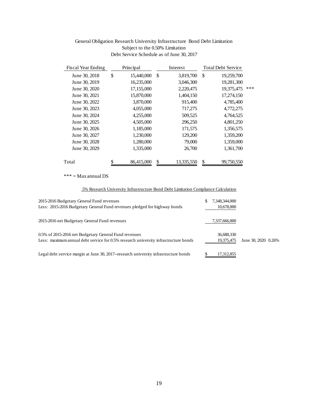#### General Obligation Research University Infrastructure Bond Debt Limitation Subject to the 0.50% Limitation Debt Service Schedule as of June 30, 2017

| <b>Fiscal Year Ending</b>                                                | Principal        |    | Interest                                                                           | <b>Total Debt Service</b> |         |
|--------------------------------------------------------------------------|------------------|----|------------------------------------------------------------------------------------|---------------------------|---------|
| June 30, 2018                                                            | \$<br>15,440,000 | \$ | 3,819,700                                                                          | \$<br>19,259,700          |         |
| June 30, 2019                                                            | 16,235,000       |    | 3,046,300                                                                          | 19,281,300                |         |
| June 30, 2020                                                            | 17,155,000       |    | 2,220,475                                                                          | 19,375,475                | ***     |
| June 30, 2021                                                            | 15,870,000       |    | 1,404,150                                                                          | 17,274,150                |         |
| June 30, 2022                                                            | 3,870,000        |    | 915,400                                                                            | 4,785,400                 |         |
| June 30, 2023                                                            | 4,055,000        |    | 717,275                                                                            | 4,772,275                 |         |
| June 30, 2024                                                            | 4,255,000        |    | 509,525                                                                            | 4,764,525                 |         |
| June 30, 2025                                                            | 4,505,000        |    | 296,250                                                                            | 4,801,250                 |         |
| June 30, 2026                                                            | 1,185,000        |    | 171,575                                                                            | 1,356,575                 |         |
| June 30, 2027                                                            | 1,230,000        |    | 129,200                                                                            | 1,359,200                 |         |
| June 30, 2028                                                            | 1,280,000        |    | 79,000                                                                             | 1,359,000                 |         |
| June 30, 2029                                                            | 1,335,000        |    | 26,700                                                                             | 1,361,700                 |         |
| Total                                                                    | \$<br>86,415,000 | \$ | 13,335,550                                                                         | \$<br>99,750,550          |         |
| $*** = Max annual DS$                                                    |                  |    |                                                                                    |                           |         |
|                                                                          |                  |    | .5% Research University Infrastructure Bond Debt Limitation Compliance Calculation |                           |         |
|                                                                          |                  |    |                                                                                    |                           |         |
| dgetary General Fund revenues                                            |                  |    |                                                                                    | \$<br>7,348,344,000       |         |
| 016 Budgetary General Fund revenues pledged for highway bonds            |                  |    |                                                                                    | 10,678,000                |         |
| Budgetary General Fund revenues                                          |                  |    |                                                                                    | 7,337,666,000             |         |
| 2016 net Budgetary General Fund revenues                                 |                  |    |                                                                                    | 36,688,330                |         |
| im annual debt service for 0.5% research university infrastructure bonds |                  |    |                                                                                    | 19,375,475                | June 30 |
| rvice margin at June 30, 2017--research university infrastructure bonds  |                  |    |                                                                                    | \$<br>17,312,855          |         |
|                                                                          |                  |    |                                                                                    |                           |         |
|                                                                          |                  |    |                                                                                    |                           |         |
|                                                                          |                  |    |                                                                                    |                           |         |
|                                                                          |                  |    |                                                                                    |                           |         |
|                                                                          |                  |    |                                                                                    |                           |         |
|                                                                          |                  |    |                                                                                    |                           |         |
|                                                                          |                  |    |                                                                                    |                           |         |
|                                                                          |                  |    |                                                                                    |                           |         |
|                                                                          |                  |    |                                                                                    |                           |         |
|                                                                          |                  |    |                                                                                    |                           |         |
|                                                                          |                  |    |                                                                                    |                           |         |
|                                                                          |                  |    |                                                                                    |                           |         |
|                                                                          |                  |    |                                                                                    |                           |         |
|                                                                          |                  |    |                                                                                    |                           |         |
|                                                                          |                  |    |                                                                                    |                           |         |
|                                                                          |                  |    |                                                                                    |                           |         |
|                                                                          |                  |    |                                                                                    |                           |         |
|                                                                          |                  | 19 |                                                                                    |                           |         |
|                                                                          |                  |    |                                                                                    |                           |         |

#### .5% Research University Infrastructure Bond Debt Limitation Compliance Calculation

| 2015-2016 Budgetary General Fund revenues<br>Less: 2015-2016 Budgetary General Fund revenues pledged for highway bonds                       | 7,348,344,000<br>10,678,000 |                     |  |
|----------------------------------------------------------------------------------------------------------------------------------------------|-----------------------------|---------------------|--|
| 2015-2016 net Budgetary General Fund revenues                                                                                                | 7,337,666,000               |                     |  |
| 0.5% of 2015-2016 net Budgetary General Fund revenues<br>Less: maximum annual debt service for 0.5% research university infrastructure bonds | 36,688,330<br>19,375,475    | June 30, 2020 0.26% |  |
| Legal debt service margin at June 30, 2017-research university infrastructure bonds                                                          | 17,312,855                  |                     |  |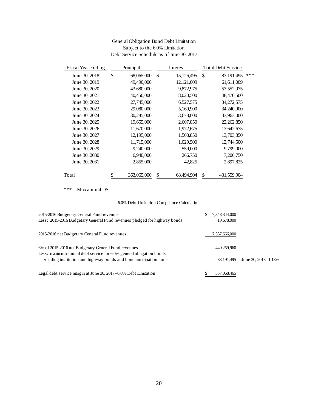#### General Obligation Bond Debt Limitation Subject to the 6.0% Limitation Debt Service Schedule as of June 30, 2017

| <b>Fiscal Year Ending</b>                                                                                          | Principal                                   |    | Interest   | <b>Total Debt Service</b> |         |
|--------------------------------------------------------------------------------------------------------------------|---------------------------------------------|----|------------|---------------------------|---------|
| June 30, 2018                                                                                                      | \$<br>68,065,000                            | \$ | 15,126,495 | \$<br>83,191,495          | ***     |
| June 30, 2019                                                                                                      | 49,490,000                                  |    | 12,121,009 | 61,611,009                |         |
| June 30, 2020                                                                                                      | 43,680,000                                  |    | 9,872,975  | 53,552,975                |         |
| June 30, 2021                                                                                                      | 40,450,000                                  |    | 8,020,500  | 48,470,500                |         |
| June 30, 2022                                                                                                      | 27,745,000                                  |    | 6,527,575  | 34,272,575                |         |
| June 30, 2023                                                                                                      | 29,080,000                                  |    | 5,160,900  | 34,240,900                |         |
| June 30, 2024                                                                                                      | 30,285,000                                  |    | 3,678,000  | 33,963,000                |         |
| June 30, 2025                                                                                                      | 19,655,000                                  |    | 2,607,850  | 22,262,850                |         |
| June 30, 2026                                                                                                      | 11,670,000                                  |    | 1,972,675  | 13,642,675                |         |
| June 30, 2027                                                                                                      | 12,195,000                                  |    | 1,508,850  | 13,703,850                |         |
| June 30, 2028                                                                                                      | 11,715,000                                  |    | 1,029,500  | 12,744,500                |         |
| June 30, 2029                                                                                                      | 9,240,000                                   |    | 559,000    | 9,799,000                 |         |
| June 30, 2030                                                                                                      | 6,940,000                                   |    | 266,750    | 7,206,750                 |         |
| June 30, 2031                                                                                                      | 2,855,000                                   |    | 42,825     | 2,897,825                 |         |
| Total                                                                                                              | \$<br>363,065,000                           | \$ | 68,494,904 | \$<br>431,559,904         |         |
| $***$ = Max annual DS                                                                                              |                                             |    |            |                           |         |
|                                                                                                                    | 6.0% Debt Limitation Compliance Calculation |    |            |                           |         |
| dgetary General Fund revenues                                                                                      |                                             |    |            | \$<br>7,348,344,000       |         |
| 116 Budgetary General Fund revenues pledged for highway bonds                                                      |                                             |    |            | 10,678,000                |         |
| Budgetary General Fund revenues                                                                                    |                                             |    |            | 7,337,666,000             |         |
| 16 net Budgetary General Fund revenues                                                                             |                                             |    |            | 440,259,960               |         |
| m annual debt service for 6.0% general obligation bonds<br>stitution and highway bonds and bond anticipation notes |                                             |    |            | 83, 191, 495              | June 30 |
| rvice margin at June 30, 2017--6.0% Debt Limitation                                                                |                                             |    |            | \$<br>357,068,465         |         |
|                                                                                                                    |                                             |    |            |                           |         |
|                                                                                                                    |                                             |    |            |                           |         |
|                                                                                                                    |                                             |    |            |                           |         |
|                                                                                                                    |                                             |    |            |                           |         |
|                                                                                                                    |                                             |    |            |                           |         |
|                                                                                                                    |                                             |    |            |                           |         |
|                                                                                                                    |                                             |    |            |                           |         |
|                                                                                                                    |                                             |    |            |                           |         |
|                                                                                                                    |                                             |    |            |                           |         |
|                                                                                                                    |                                             |    |            |                           |         |
|                                                                                                                    |                                             | 20 |            |                           |         |

#### 6.0% Debt Limitation Compliance Calculation

| 2015-2016 Budgetary General Fund revenues<br>Less: 2015-2016 Budgetary General Fund revenues pledged for highway bonds     | 7,348,344,000<br>10,678,000 |                     |  |
|----------------------------------------------------------------------------------------------------------------------------|-----------------------------|---------------------|--|
| 2015-2016 net Budgetary General Fund revenues                                                                              | 7,337,666,000               |                     |  |
| 6% of 2015-2016 net Budgetary General Fund revenues<br>Less: maximum annual debt service for 6.0% general obligation bonds | 440.259.960                 |                     |  |
| excluding institution and highway bonds and bond anticipation notes                                                        | 83, 191, 495                | June 30, 2018 1.13% |  |
| Legal debt service margin at June 30, 2017--6.0% Debt Limitation                                                           | 357,068,465                 |                     |  |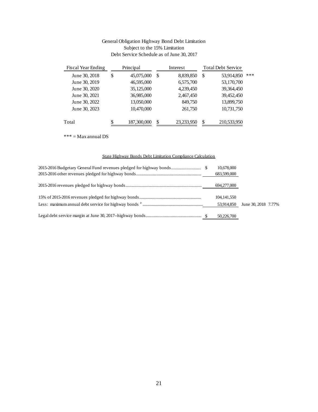#### General Obligation Highway Bond Debt Limitation Subject to the 15% Limitation Debt Service Schedule as of June 30, 2017

| <b>Fiscal Year Ending</b> | Principal                                                         |    | Interest   | <b>Total Debt Service</b> |         |
|---------------------------|-------------------------------------------------------------------|----|------------|---------------------------|---------|
| June 30, 2018             | \$<br>45,075,000                                                  | \$ | 8,839,850  | \$<br>53,914,850          | ***     |
| June 30, 2019             | 46,595,000                                                        |    | 6,575,700  | 53,170,700                |         |
| June 30, 2020             | 35,125,000                                                        |    | 4,239,450  | 39,364,450                |         |
| June 30, 2021             | 36,985,000                                                        |    | 2,467,450  | 39,452,450                |         |
| June 30, 2022             | 13,050,000                                                        |    | 849,750    | 13,899,750                |         |
| June 30, 2023             | 10,470,000                                                        |    | 261,750    | 10,731,750                |         |
| Total                     | \$<br>187,300,000                                                 | \$ | 23,233,950 | \$<br>210,533,950         |         |
| $*** = Max annual DS$     |                                                                   |    |            |                           |         |
|                           | <b>State Highway Bonds Debt Limitation Compliance Calculation</b> |    |            |                           |         |
|                           |                                                                   |    |            | 10,678,000<br>683,599,000 |         |
|                           |                                                                   |    |            | 694,277,000               |         |
|                           |                                                                   |    |            | 104, 141, 550             |         |
|                           |                                                                   |    |            | 53,914,850                | June 30 |
|                           |                                                                   |    |            | 50,226,700                |         |
|                           |                                                                   |    |            |                           |         |
|                           |                                                                   |    |            |                           |         |
|                           |                                                                   |    |            |                           |         |
|                           |                                                                   |    |            |                           |         |
|                           |                                                                   |    |            |                           |         |
|                           |                                                                   |    |            |                           |         |
|                           |                                                                   |    |            |                           |         |
|                           |                                                                   |    |            |                           |         |
|                           |                                                                   |    |            |                           |         |
|                           |                                                                   |    |            |                           |         |
|                           |                                                                   |    |            |                           |         |
|                           |                                                                   |    |            |                           |         |
|                           |                                                                   |    |            |                           |         |
|                           |                                                                   |    |            |                           |         |
|                           |                                                                   |    |            |                           |         |
|                           |                                                                   |    |            |                           |         |
|                           |                                                                   |    |            |                           |         |
|                           |                                                                   |    |            |                           |         |
|                           |                                                                   |    |            |                           |         |
|                           |                                                                   |    |            |                           |         |
|                           |                                                                   | 21 |            |                           |         |

#### State Highway Bonds Debt Limitation Compliance Calculation

|  | 10,678,000    |                     |  |
|--|---------------|---------------------|--|
|  | 683,599,000   |                     |  |
|  | 694,277,000   |                     |  |
|  | 104, 141, 550 |                     |  |
|  | 53,914,850    | June 30, 2018 7.77% |  |
|  | 50,226,700    |                     |  |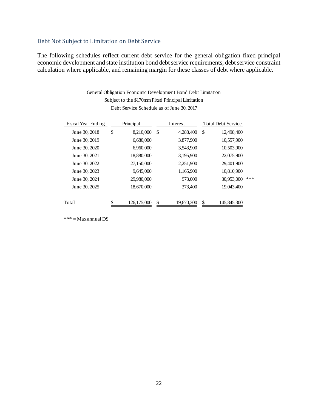## <span id="page-22-0"></span>Debt Not Subject to Limitation on Debt Service

The following schedules reflect current debt service for the general obligation fixed principal economic development and state institution bond debt service requirements, debt service constraint calculation where applicable, and remaining margin for these classes of debt where applicable.

> General Obligation Economic Development Bond Debt Limitation Subject to the \$170mm Fixed Principal Limitation Debt Service Schedule as of June 30, 2017

| Fiscal Year Ending | Principal           | Interest         |    | <b>Total Debt Service</b> |     |
|--------------------|---------------------|------------------|----|---------------------------|-----|
| June 30, 2018      | \$<br>8,210,000     | \$<br>4,288,400  | S. | 12,498,400                |     |
| June 30, 2019      | 6,680,000           | 3,877,900        |    | 10,557,900                |     |
| June 30, 2020      | 6,960,000           | 3,543,900        |    | 10,503,900                |     |
| June 30, 2021      | 18,880,000          | 3,195,900        |    | 22,075,900                |     |
| June 30, 2022      | 27,150,000          | 2,251,900        |    | 29,401,900                |     |
| June 30, 2023      | 9,645,000           | 1,165,900        |    | 10,810,900                |     |
| June 30, 2024      | 29,980,000          | 973,000          |    | 30,953,000                | *** |
| June 30, 2025      | 18,670,000          | 373,400          |    | 19,043,400                |     |
| Total              | \$<br>126, 175, 000 | \$<br>19,670,300 | \$ | 145,845,300               |     |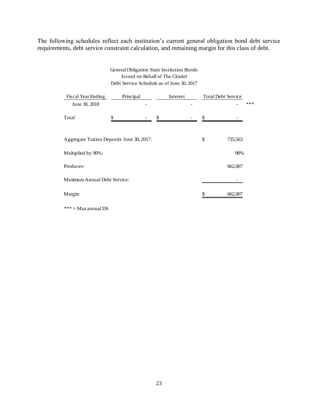The following schedules reflect each institution's current general obligation bond debt service requirements, debt service constraint calculation, and remaining margin for this class of debt.

#### Debt Service Schedule as of June 30, 2017 General Obligation State Institution Bonds Issued on Behalf of The Citadel

| Fiscal Year Ending                        | Principal |                                | Interest | <b>Total Debt Service</b> |         |     |
|-------------------------------------------|-----------|--------------------------------|----------|---------------------------|---------|-----|
| June 30, 2018                             |           |                                |          |                           |         | *** |
| Total                                     | \$        | \$<br>$\overline{\phantom{a}}$ |          | \$                        |         |     |
| Aggregate Tuition Deposits June 30, 2017: |           |                                |          | \$                        | 735,563 |     |
| Multiplied by 90%:                        |           |                                |          |                           | 90%     |     |
| Produces:                                 |           |                                |          |                           | 662,007 |     |
| Maximum Annual Debt Service:              |           |                                |          |                           |         |     |
| Margin:                                   |           |                                |          |                           | 662,007 |     |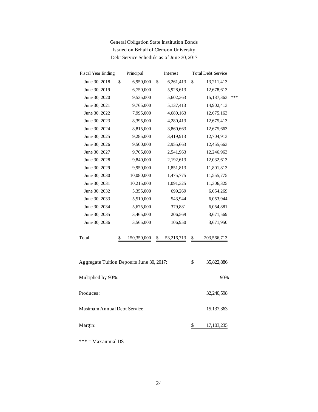| <b>General Obligation State Institution Bonds</b> |
|---------------------------------------------------|
| Issued on Behalf of Clemson University            |
| Debt Service Schedule as of June 30, 2017         |

| *** |
|-----|
|     |
|     |
|     |
|     |
|     |
|     |
|     |
|     |
|     |
|     |
|     |
|     |
|     |
|     |
|     |
|     |
|     |
|     |
|     |
|     |
|     |
|     |
|     |
|     |
|     |
|     |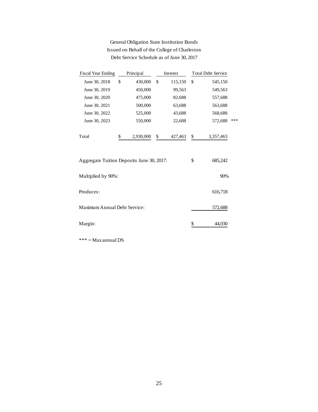## General Obligation State Institution Bonds Issued on Behalf of the College of Charleston Debt Service Schedule as of June 30, 2017

| <b>Fiscal Year Ending</b>                 |    | Principal |    | Interest |    | <b>Total Debt Service</b> |     |
|-------------------------------------------|----|-----------|----|----------|----|---------------------------|-----|
| June 30, 2018                             | \$ | 430,000   | \$ | 115,150  | \$ | 545,150                   |     |
| June 30, 2019                             |    | 450,000   |    | 99,563   |    | 549,563                   |     |
| June 30, 2020                             |    | 475,000   |    | 82,688   |    | 557,688                   |     |
| June 30, 2021                             |    | 500,000   |    | 63,688   |    | 563,688                   |     |
| June 30, 2022                             |    | 525,000   |    | 43,688   |    | 568,688                   |     |
| June 30, 2023                             |    | 550,000   |    | 22,688   |    | 572,688                   | *** |
| Total                                     |    | 2,930,000 | \$ | 427, 463 | \$ | 3,357,463                 |     |
| Aggregate Tuition Deposits June 30, 2017: |    |           |    |          | \$ | 685,242                   |     |
| Multiplied by 90%:                        |    |           |    |          |    | 90%                       |     |
| Produces:                                 |    | 616,718   |    |          |    |                           |     |
| Maximum Annual Debt Service:              |    |           |    |          |    | 572,688                   |     |
| Margin:                                   |    |           |    |          |    | 44.030                    |     |

 $\ast\ast\ast=\mathbf{Max}$ annual DS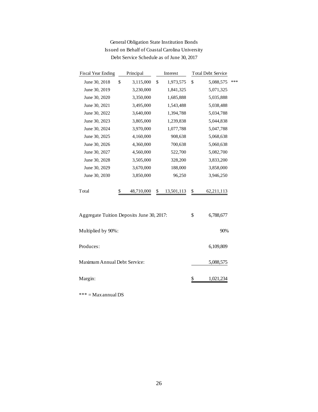| <b>Fiscal Year Ending</b>                 | Principal        | Interest         | <b>Total Debt Service</b> |     |
|-------------------------------------------|------------------|------------------|---------------------------|-----|
| June 30, 2018                             | \$<br>3,115,000  | \$<br>1,973,575  | \$<br>5,088,575           | *** |
| June 30, 2019                             | 3,230,000        | 1,841,325        | 5,071,325                 |     |
| June 30, 2020                             | 3,350,000        | 1,685,888        | 5,035,888                 |     |
| June 30, 2021                             | 3,495,000        | 1,543,488        | 5,038,488                 |     |
| June 30, 2022                             | 3,640,000        | 1,394,788        | 5,034,788                 |     |
| June 30, 2023                             | 3,805,000        | 1,239,838        | 5,044,838                 |     |
| June 30, 2024                             | 3,970,000        | 1,077,788        | 5,047,788                 |     |
| June 30, 2025                             | 4,160,000        | 908,638          | 5,068,638                 |     |
| June 30, 2026                             | 4,360,000        | 700,638          | 5,060,638                 |     |
| June 30, 2027                             | 4,560,000        | 522,700          | 5,082,700                 |     |
| June 30, 2028                             | 3,505,000        | 328,200          | 3,833,200                 |     |
| June 30, 2029                             | 3,670,000        | 188,000          | 3,858,000                 |     |
| June 30, 2030                             | 3,850,000        | 96,250           | 3,946,250                 |     |
| Total                                     | \$<br>48,710,000 | \$<br>13,501,113 | \$<br>62, 211, 113        |     |
| Aggregate Tuition Deposits June 30, 2017: |                  |                  | \$<br>6,788,677           |     |
| Multiplied by 90%:                        |                  |                  | 90%                       |     |
| Produces:                                 |                  |                  | 6,109,809                 |     |
| Maximum Annual Debt Service:              |                  |                  | 5,088,575                 |     |
| Margin:                                   |                  |                  | \$<br>1,021,234           |     |
|                                           |                  |                  |                           |     |

## General Obligation State Institution Bonds Issued on Behalf of Coastal Carolina University Debt Service Schedule as of June 30, 2017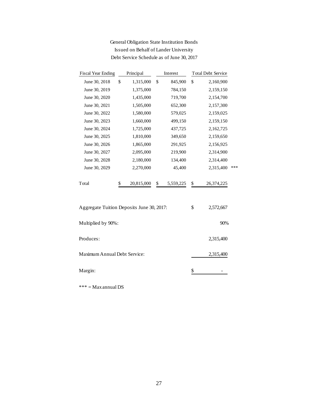## General Obligation State Institution Bonds Issued on Behalf of Lander University Debt Service Schedule as of June 30, 2017

| <b>Fiscal Year Ending</b>                 | Principal        | Interest        | <b>Total Debt Service</b> |     |
|-------------------------------------------|------------------|-----------------|---------------------------|-----|
| June 30, 2018                             | \$<br>1,315,000  | \$<br>845,900   | \$<br>2,160,900           |     |
| June 30, 2019                             | 1,375,000        | 784,150         | 2,159,150                 |     |
| June 30, 2020                             | 1,435,000        | 719,700         | 2,154,700                 |     |
| June 30, 2021                             | 1,505,000        | 652,300         | 2,157,300                 |     |
| June 30, 2022                             | 1,580,000        | 579,025         | 2,159,025                 |     |
| June 30, 2023                             | 1,660,000        | 499,150         | 2,159,150                 |     |
| June 30, 2024                             | 1,725,000        | 437,725         | 2,162,725                 |     |
| June 30, 2025                             | 1,810,000        | 349,650         | 2,159,650                 |     |
| June 30, 2026                             | 1,865,000        | 291,925         | 2,156,925                 |     |
| June 30, 2027                             | 2,095,000        | 219,900         | 2,314,900                 |     |
| June 30, 2028                             | 2,180,000        | 134,400         | 2,314,400                 |     |
| June 30, 2029                             | 2,270,000        | 45,400          | 2,315,400                 | *** |
| Total                                     | \$<br>20,815,000 | \$<br>5,559,225 | \$<br>26,374,225          |     |
| Aggregate Tuition Deposits June 30, 2017: |                  |                 | \$<br>2,572,667           |     |
| Multiplied by 90%:                        |                  |                 | 90%                       |     |
| Produces:                                 |                  |                 | 2,315,400                 |     |
| Maximum Annual Debt Service:              |                  |                 | 2,315,400                 |     |
| Margin:                                   |                  |                 | \$                        |     |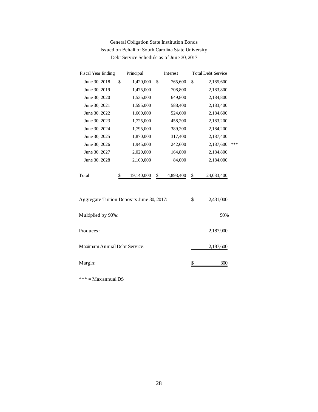| <b>Fiscal Year Ending</b>                 | Principal        | Interest        | <b>Total Debt Service</b> |     |
|-------------------------------------------|------------------|-----------------|---------------------------|-----|
| June 30, 2018                             | \$<br>1,420,000  | \$<br>765,600   | \$<br>2,185,600           |     |
| June 30, 2019                             | 1,475,000        | 708,800         | 2,183,800                 |     |
| June 30, 2020                             | 1,535,000        | 649,800         | 2,184,800                 |     |
| June 30, 2021                             | 1,595,000        | 588,400         | 2,183,400                 |     |
| June 30, 2022                             | 1,660,000        | 524,600         | 2,184,600                 |     |
| June 30, 2023                             | 1,725,000        | 458,200         | 2,183,200                 |     |
| June 30, 2024                             | 1,795,000        | 389,200         | 2,184,200                 |     |
| June 30, 2025                             | 1,870,000        | 317,400         | 2,187,400                 |     |
| June 30, 2026                             | 1,945,000        | 242,600         | 2,187,600                 | *** |
| June 30, 2027                             | 2,020,000        | 164,800         | 2,184,800                 |     |
| June 30, 2028                             | 2,100,000        | 84,000          | 2,184,000                 |     |
| Total                                     | \$<br>19,140,000 | \$<br>4,893,400 | \$<br>24,033,400          |     |
| Aggregate Tuition Deposits June 30, 2017: |                  |                 | \$<br>2,431,000           |     |
| Multiplied by 90%:                        |                  |                 | 90%                       |     |
| Produces:                                 |                  |                 | 2,187,900                 |     |
| Maximum Annual Debt Service:              |                  |                 | 2,187,600                 |     |
| Margin:                                   |                  |                 | \$<br>300                 |     |

## General Obligation State Institution Bonds Issued on Behalf of South Carolina State University Debt Service Schedule as of June 30, 2017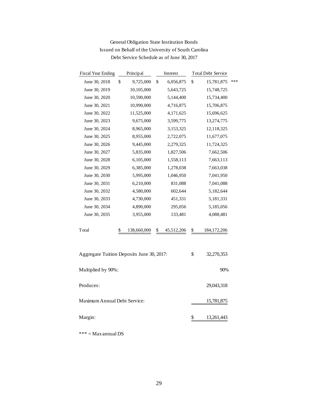| <b>Fiscal Year Ending</b>                 | Principal |             |    | Interest   | <b>Total Debt Service</b> |     |
|-------------------------------------------|-----------|-------------|----|------------|---------------------------|-----|
| June 30, 2018                             | \$        | 9,725,000   | \$ | 6,056,875  | \$<br>15,781,875          | *** |
| June 30, 2019                             |           | 10,105,000  |    | 5,643,725  | 15,748,725                |     |
| June 30, 2020                             |           | 10,590,000  |    | 5,144,400  | 15,734,400                |     |
| June 30, 2021                             |           | 10,990,000  |    | 4,716,875  | 15,706,875                |     |
| June 30, 2022                             |           | 11,525,000  |    | 4,171,625  | 15,696,625                |     |
| June 30, 2023                             |           | 9,675,000   |    | 3,599,775  | 13,274,775                |     |
| June 30, 2024                             |           | 8,965,000   |    | 3,153,325  | 12,118,325                |     |
| June 30, 2025                             |           | 8,955,000   |    | 2,722,075  | 11,677,075                |     |
| June 30, 2026                             |           | 9,445,000   |    | 2,279,325  | 11,724,325                |     |
| June 30, 2027                             |           | 5,835,000   |    | 1,827,506  | 7,662,506                 |     |
| June 30, 2028                             |           | 6,105,000   |    | 1,558,113  | 7,663,113                 |     |
| June 30, 2029                             |           | 6,385,000   |    | 1,278,038  | 7,663,038                 |     |
| June 30, 2030                             |           | 5,995,000   |    | 1,046,950  | 7,041,950                 |     |
| June 30, 2031                             |           | 6,210,000   |    | 831,088    | 7,041,088                 |     |
| June 30, 2032                             |           | 4,580,000   |    | 602,644    | 5,182,644                 |     |
| June 30, 2033                             |           | 4,730,000   |    | 451,331    | 5,181,331                 |     |
| June 30, 2034                             |           | 4,890,000   |    | 295,056    | 5,185,056                 |     |
| June 30, 2035                             |           | 3,955,000   |    | 133,481    | 4,088,481                 |     |
| Total                                     | \$        | 138,660,000 | \$ | 45,512,206 | \$<br>184, 172, 206       |     |
| Aggregate Tuition Deposits June 30, 2017: |           |             |    |            | \$<br>32,270,353          |     |
| Multiplied by 90%:                        |           |             |    |            | 90%                       |     |
| Produces:                                 |           |             |    |            | 29,043,318                |     |
| Maximum Annual Debt Service:              |           |             |    |            | 15,781,875                |     |
| Margin:                                   |           |             |    |            | \$<br>13,261,443          |     |
|                                           |           |             |    |            |                           |     |

## General Obligation State Institution Bonds Issued on Behalf of the University of South Carolina Debt Service Schedule as of June 30, 2017

 $\mathrm{***} = \mathrm{Max}$ annual DS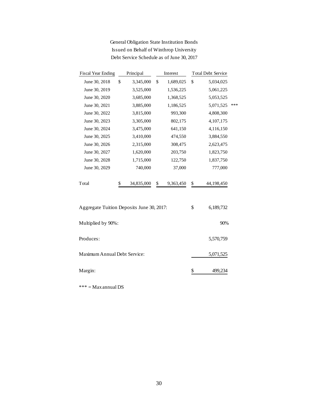| <b>Fiscal Year Ending</b>                 | Principal        | Interest        | <b>Total Debt Service</b> |     |
|-------------------------------------------|------------------|-----------------|---------------------------|-----|
| June 30, 2018                             | \$<br>3,345,000  | \$<br>1,689,025 | \$<br>5,034,025           |     |
| June 30, 2019                             | 3,525,000        | 1,536,225       | 5,061,225                 |     |
| June 30, 2020                             | 3,685,000        | 1,368,525       | 5,053,525                 |     |
| June 30, 2021                             | 3,885,000        | 1,186,525       | 5,071,525                 | *** |
| June 30, 2022                             | 3,815,000        | 993,300         | 4,808,300                 |     |
| June 30, 2023                             | 3,305,000        | 802,175         | 4,107,175                 |     |
| June 30, 2024                             | 3,475,000        | 641,150         | 4,116,150                 |     |
| June 30, 2025                             | 3,410,000        | 474,550         | 3,884,550                 |     |
| June 30, 2026                             | 2,315,000        | 308,475         | 2,623,475                 |     |
| June 30, 2027                             | 1,620,000        | 203,750         | 1,823,750                 |     |
| June 30, 2028                             | 1,715,000        | 122,750         | 1,837,750                 |     |
| June 30, 2029                             | 740,000          | 37,000          | 777,000                   |     |
| Total                                     | \$<br>34,835,000 | \$<br>9,363,450 | \$<br>44,198,450          |     |
| Aggregate Tuition Deposits June 30, 2017: |                  |                 | \$<br>6,189,732           |     |
| Multiplied by 90%:                        |                  |                 | 90%                       |     |
| Produces:                                 |                  |                 | 5,570,759                 |     |
| Maximum Annual Debt Service:              |                  |                 | 5,071,525                 |     |
| Margin:                                   |                  |                 | \$<br>499.234             |     |

General Obligation State Institution Bonds Issued on Behalf of Winthrop University Debt Service Schedule as of June 30, 2017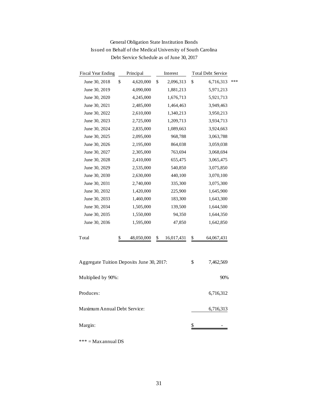| <b>Fiscal Year Ending</b>                 | Principal        | Interest         |    | <b>Total Debt Service</b> |     |  |
|-------------------------------------------|------------------|------------------|----|---------------------------|-----|--|
| June 30, 2018                             | \$<br>4,620,000  | \$<br>2,096,313  | \$ | 6,716,313                 | *** |  |
| June 30, 2019                             | 4,090,000        | 1,881,213        |    | 5,971,213                 |     |  |
| June 30, 2020                             | 4,245,000        | 1,676,713        |    | 5,921,713                 |     |  |
| June 30, 2021                             | 2,485,000        | 1,464,463        |    | 3,949,463                 |     |  |
| June 30, 2022                             | 2,610,000        | 1,340,213        |    | 3,950,213                 |     |  |
| June 30, 2023                             | 2,725,000        | 1,209,713        |    | 3,934,713                 |     |  |
| June 30, 2024                             | 2,835,000        | 1,089,663        |    | 3,924,663                 |     |  |
| June 30, 2025                             | 2,095,000        | 968,788          |    | 3,063,788                 |     |  |
| June 30, 2026                             | 2,195,000        | 864,038          |    | 3,059,038                 |     |  |
| June 30, 2027                             | 2,305,000        | 763,694          |    | 3,068,694                 |     |  |
| June 30, 2028                             | 2,410,000        | 655,475          |    | 3,065,475                 |     |  |
| June 30, 2029                             | 2,535,000        | 540,850          |    | 3,075,850                 |     |  |
| June 30, 2030                             | 2,630,000        | 440,100          |    | 3,070,100                 |     |  |
| June 30, 2031                             | 2,740,000        | 335,300          |    | 3,075,300                 |     |  |
| June 30, 2032                             | 1,420,000        | 225,900          |    | 1,645,900                 |     |  |
| June 30, 2033                             | 1,460,000        | 183,300          |    | 1,643,300                 |     |  |
| June 30, 2034                             | 1,505,000        | 139,500          |    | 1,644,500                 |     |  |
| June 30, 2035                             | 1,550,000        | 94,350           |    | 1,644,350                 |     |  |
| June 30, 2036                             | 1,595,000        | 47,850           |    | 1,642,850                 |     |  |
| Total                                     | \$<br>48,050,000 | \$<br>16,017,431 | \$ | 64,067,431                |     |  |
| Aggregate Tuition Deposits June 30, 2017: |                  |                  | \$ | 7,462,569                 |     |  |
| Multiplied by 90%:                        |                  |                  |    | 90%                       |     |  |
| Produces:                                 |                  |                  |    | 6,716,312                 |     |  |
| Maximum Annual Debt Service:              |                  |                  |    | 6,716,313                 |     |  |
| Margin:                                   |                  |                  | \$ |                           |     |  |
|                                           |                  |                  |    |                           |     |  |

## General Obligation State Institution Bonds Issued on Behalf of the Medical University of South Carolina Debt Service Schedule as of June 30, 2017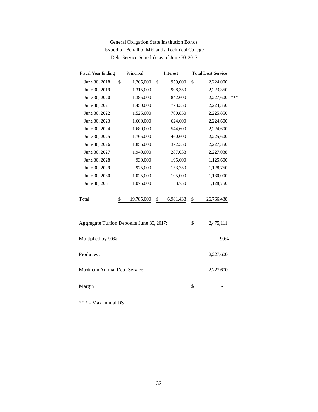| <b>Fiscal Year Ending</b>                 | Principal  | Interest        | <b>Total Debt Service</b> |     |
|-------------------------------------------|------------|-----------------|---------------------------|-----|
| \$<br>June 30, 2018                       | 1,265,000  | \$<br>959,000   | \$<br>2,224,000           |     |
| June 30, 2019                             | 1,315,000  | 908,350         | 2,223,350                 |     |
| June 30, 2020                             | 1,385,000  | 842,600         | 2,227,600                 | *** |
| June 30, 2021                             | 1,450,000  | 773,350         | 2,223,350                 |     |
| June 30, 2022                             | 1,525,000  | 700,850         | 2,225,850                 |     |
| June 30, 2023                             | 1,600,000  | 624,600         | 2,224,600                 |     |
| June 30, 2024                             | 1,680,000  | 544,600         | 2,224,600                 |     |
| June 30, 2025                             | 1,765,000  | 460,600         | 2,225,600                 |     |
| June 30, 2026                             | 1,855,000  | 372,350         | 2,227,350                 |     |
| June 30, 2027                             | 1,940,000  | 287,038         | 2,227,038                 |     |
| June 30, 2028                             | 930,000    | 195,600         | 1,125,600                 |     |
| June 30, 2029                             | 975,000    | 153,750         | 1,128,750                 |     |
| June 30, 2030                             | 1,025,000  | 105,000         | 1,130,000                 |     |
| June 30, 2031                             | 1,075,000  | 53,750          | 1,128,750                 |     |
| Total<br>\$                               | 19,785,000 | 6,981,438<br>\$ | \$<br>26,766,438          |     |
| Aggregate Tuition Deposits June 30, 2017: |            |                 | \$<br>2,475,111           |     |
| Multiplied by 90%:                        |            |                 | 90%                       |     |
| Produces:                                 | 2,227,600  |                 |                           |     |
| Maximum Annual Debt Service:              |            |                 | 2,227,600                 |     |
| Margin:                                   |            |                 | \$                        |     |

## General Obligation State Institution Bonds Issued on Behalf of Midlands Technical College Debt Service Schedule as of June 30, 2017

 $\mathrm{***} = \mathrm{Max}$ annual DS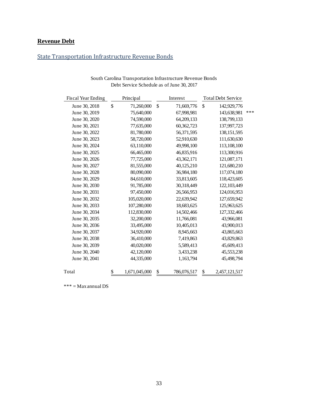## <span id="page-33-0"></span>**Revenue Debt**

## <span id="page-33-1"></span>State Transportation Infrastructure Revenue Bonds

| <b>Fiscal Year Ending</b> | Principal           | Interest          | <b>Total Debt Service</b> |     |
|---------------------------|---------------------|-------------------|---------------------------|-----|
| June 30, 2018             | \$<br>71,260,000    | \$<br>71,669,776  | \$<br>142,929,776         |     |
| June 30, 2019             | 75,640,000          | 67,998,981        | 143,638,981               | *** |
| June 30, 2020             | 74,590,000          | 64,209,133        | 138,799,133               |     |
| June 30, 2021             | 77,635,000          | 60,362,723        | 137,997,723               |     |
| June 30, 2022             | 81,780,000          | 56,371,595        | 138, 151, 595             |     |
| June 30, 2023             | 58,720,000          | 52,910,630        | 111,630,630               |     |
| June 30, 2024             | 63,110,000          | 49,998,100        | 113,108,100               |     |
| June 30, 2025             | 66,465,000          | 46,835,916        | 113,300,916               |     |
| June 30, 2026             | 77,725,000          | 43,362,171        | 121,087,171               |     |
| June 30, 2027             | 81,555,000          | 40,125,210        | 121,680,210               |     |
| June 30, 2028             | 80,090,000          | 36,984,180        | 117,074,180               |     |
| June 30, 2029             | 84,610,000          | 33,813,605        | 118,423,605               |     |
| June 30, 2030             | 91,785,000          | 30,318,449        | 122,103,449               |     |
| June 30, 2031             | 97,450,000          | 26,566,953        | 124,016,953               |     |
| June 30, 2032             | 105,020,000         | 22,639,942        | 127,659,942               |     |
| June 30, 2033             | 107,280,000         | 18,683,625        | 125,963,625               |     |
| June 30, 2034             | 112,830,000         | 14,502,466        | 127,332,466               |     |
| June 30, 2035             | 32,200,000          | 11,766,081        | 43,966,081                |     |
| June 30, 2036             | 33,495,000          | 10,405,013        | 43,900,013                |     |
| June 30, 2037             | 34,920,000          | 8,945,663         | 43,865,663                |     |
| June 30, 2038             | 36,410,000          | 7,419,863         | 43,829,863                |     |
| June 30, 2039             | 40,020,000          | 5,589,413         | 45,609,413                |     |
| June 30, 2040             | 42,120,000          | 3,433,238         | 45,553,238                |     |
| June 30, 2041             | 44,335,000          | 1,163,794         | 45,498,794                |     |
| Total                     | \$<br>1,671,045,000 | \$<br>786,076,517 | \$<br>2,457,121,517       |     |

| South Carolina Transportation Infrastructure Revenue Bonds |  |
|------------------------------------------------------------|--|
| Debt Service Schedule as of June 30, 2017                  |  |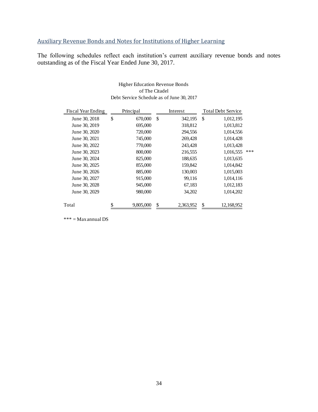## <span id="page-34-0"></span>Auxiliary Revenue Bonds and Notes for Institutions of Higher Learning

The following schedules reflect each institution's current auxiliary revenue bonds and notes outstanding as of the Fiscal Year Ended June 30, 2017.

|                    | of The Citadel  | Debt Service Schedule as of June 30, 2017 |                           |     |
|--------------------|-----------------|-------------------------------------------|---------------------------|-----|
| Fiscal Year Ending | Principal       | Interest                                  | <b>Total Debt Service</b> |     |
| June 30, 2018      | \$<br>670,000   | \$<br>342,195                             | \$<br>1,012,195           |     |
| June 30, 2019      | 695,000         | 318,812                                   | 1,013,812                 |     |
| June 30, 2020      | 720,000         | 294,556                                   | 1,014,556                 |     |
| June 30, 2021      | 745,000         | 269,428                                   | 1,014,428                 |     |
| June 30, 2022      | 770,000         | 243,428                                   | 1,013,428                 |     |
| June 30, 2023      | 800,000         | 216,555                                   | 1,016,555                 | *** |
| June 30, 2024      | 825,000         | 188,635                                   | 1,013,635                 |     |
| June 30, 2025      | 855,000         | 159,842                                   | 1,014,842                 |     |
| June 30, 2026      | 885,000         | 130,003                                   | 1,015,003                 |     |
| June 30, 2027      | 915,000         | 99,116                                    | 1,014,116                 |     |
| June 30, 2028      | 945,000         | 67,183                                    | 1,012,183                 |     |
| June 30, 2029      | 980,000         | 34,202                                    | 1,014,202                 |     |
| Total              | \$<br>9,805,000 | \$<br>2,363,952                           | \$<br>12,168,952          |     |

Higher Education Revenue Bonds of The Citadel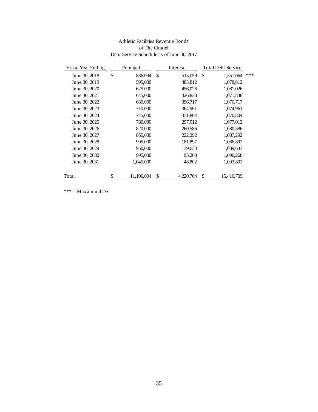#### Athletic Facilities Revenue Bonds of The Citadel Debt Service Schedule as of June 30, 2017

| <b>Fiscal Year Ending</b> | Principal        |    | Interest  |                  | <b>Total Debt Service</b> |     |
|---------------------------|------------------|----|-----------|------------------|---------------------------|-----|
| June 30, 2018             | \$<br>836,004    | \$ | 515,059   | \$               | 1,351,064                 | *** |
| June 30, 2019             | 595,000          |    | 483,812   |                  | 1,078,812                 |     |
| June 30, 2020             | 625,000          |    | 456,026   |                  | 1,081,026                 |     |
| June 30, 2021             | 645,000          |    | 426,838   |                  | 1,071,838                 |     |
| June 30, 2022             | 680,000          |    | 396,717   |                  | 1,076,717                 |     |
| June 30, 2023             | 710,000          |    | 364,961   |                  | 1,074,961                 |     |
| June 30, 2024             | 745,000          |    | 331,804   |                  | 1,076,804                 |     |
| June 30, 2025             | 780,000          |    | 297,012   |                  | 1,077,012                 |     |
| June 30, 2026             | 820,000          |    | 260,586   |                  | 1,080,586                 |     |
| June 30, 2027             | 865,000          |    | 222,292   |                  | 1,087,292                 |     |
| June 30, 2028             | 905,000          |    | 181,897   |                  | 1,086,897                 |     |
| June 30, 2029             | 950,000          |    | 139,633   |                  | 1,089,633                 |     |
| June 30, 2030             | 995,000          |    | 95,268    |                  | 1,090,268                 |     |
| June 30, 2031             | 1,045,000        |    | 48,802    |                  | 1,093,802                 |     |
|                           |                  |    |           |                  |                           |     |
| Total                     | \$<br>11,196,004 | \$ | 4,220,704 | $\underline{\$}$ | 15,416,709                |     |
|                           |                  |    |           |                  |                           |     |
| $*** = Max$ annual DS     |                  |    |           |                  |                           |     |
|                           |                  |    |           |                  |                           |     |
|                           |                  |    |           |                  |                           |     |
|                           |                  |    |           |                  |                           |     |
|                           |                  |    |           |                  |                           |     |
|                           |                  |    |           |                  |                           |     |
|                           |                  |    |           |                  |                           |     |
|                           |                  |    |           |                  |                           |     |
|                           |                  |    |           |                  |                           |     |
|                           |                  |    |           |                  |                           |     |
|                           |                  |    |           |                  |                           |     |
|                           |                  |    |           |                  |                           |     |
|                           |                  |    |           |                  |                           |     |
|                           |                  |    |           |                  |                           |     |
|                           |                  |    |           |                  |                           |     |
|                           |                  |    |           |                  |                           |     |
|                           |                  |    |           |                  |                           |     |
|                           |                  |    |           |                  |                           |     |
|                           |                  |    |           |                  |                           |     |
|                           |                  |    |           |                  |                           |     |
|                           |                  |    |           |                  |                           |     |
|                           |                  |    |           |                  |                           |     |
|                           |                  |    |           |                  |                           |     |
|                           |                  |    |           |                  |                           |     |
|                           |                  |    |           |                  |                           |     |
|                           |                  |    |           |                  |                           |     |
|                           |                  |    |           |                  |                           |     |
|                           |                  |    |           |                  |                           |     |
|                           |                  |    |           |                  |                           |     |
|                           |                  | 35 |           |                  |                           |     |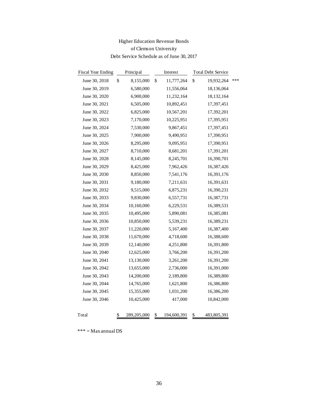## Higher Education Revenue Bonds of Clemson University Debt Service Schedule as of June 30, 2017

| <b>Fiscal Year Ending</b> | Principal |             | Interest          |    | <b>Total Debt Service</b> |     |
|---------------------------|-----------|-------------|-------------------|----|---------------------------|-----|
| June 30, 2018             | \$        | 8,155,000   | \$<br>11,777,264  | \$ | 19,932,264                | *** |
| June 30, 2019             |           | 6,580,000   | 11,556,064        |    | 18,136,064                |     |
| June 30, 2020             |           | 6,900,000   | 11,232,164        |    | 18,132,164                |     |
| June 30, 2021             |           | 6,505,000   | 10,892,451        |    | 17,397,451                |     |
| June 30, 2022             |           | 6,825,000   | 10,567,201        |    | 17,392,201                |     |
| June 30, 2023             |           | 7,170,000   | 10,225,951        |    | 17,395,951                |     |
| June 30, 2024             |           | 7,530,000   | 9,867,451         |    | 17,397,451                |     |
| June 30, 2025             |           | 7,900,000   | 9,490,951         |    | 17,390,951                |     |
| June 30, 2026             |           | 8,295,000   | 9,095,951         |    | 17,390,951                |     |
| June 30, 2027             |           | 8,710,000   | 8,681,201         |    | 17,391,201                |     |
| June 30, 2028             |           | 8,145,000   | 8,245,701         |    | 16,390,701                |     |
| June 30, 2029             |           | 8,425,000   | 7,962,426         |    | 16,387,426                |     |
| June 30, 2030             |           | 8,850,000   | 7,541,176         |    | 16,391,176                |     |
| June 30, 2031             |           | 9,180,000   | 7,211,631         |    | 16,391,631                |     |
| June 30, 2032             |           | 9,515,000   | 6,875,231         |    | 16,390,231                |     |
| June 30, 2033             |           | 9,830,000   | 6,557,731         |    | 16,387,731                |     |
| June 30, 2034             |           | 10,160,000  | 6,229,531         |    | 16,389,531                |     |
| June 30, 2035             |           | 10,495,000  | 5,890,081         |    | 16,385,081                |     |
| June 30, 2036             |           | 10,850,000  | 5,539,231         |    | 16,389,231                |     |
| June 30, 2037             |           | 11,220,000  | 5,167,400         |    | 16,387,400                |     |
| June 30, 2038             |           | 11,670,000  | 4,718,600         |    | 16,388,600                |     |
| June 30, 2039             |           | 12,140,000  | 4,251,800         |    | 16,391,800                |     |
| June 30, 2040             |           | 12,625,000  | 3,766,200         |    | 16,391,200                |     |
| June 30, 2041             |           | 13,130,000  | 3,261,200         |    | 16,391,200                |     |
| June 30, 2042             |           | 13,655,000  | 2,736,000         |    | 16,391,000                |     |
| June 30, 2043             |           | 14,200,000  | 2,189,800         |    | 16,389,800                |     |
| June 30, 2044             |           | 14,765,000  | 1,621,800         |    | 16,386,800                |     |
| June 30, 2045             |           | 15,355,000  | 1,031,200         |    | 16,386,200                |     |
| June 30, 2046             |           | 10,425,000  | 417,000           |    | 10,842,000                |     |
| Total                     | \$        | 289,205,000 | \$<br>194,600,391 | \$ | 483,805,391               |     |

 $\ast\ast\ast=\mathop{\mathbf{Max}}$ annual DS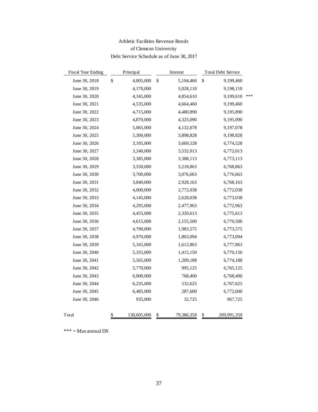## Athletic Facilities Revenue Bonds of Clemson University Debt Service Schedule as of June 30, 2017

| <b>Fiscal Year Ending</b> | Principal |             | Interest |            | <b>Total Debt Service</b> |             |     |
|---------------------------|-----------|-------------|----------|------------|---------------------------|-------------|-----|
| June 30, 2018             | \$        | 4,005,000   | \$       | 5,194,460  | \$                        | 9,199,460   |     |
| June 30, 2019             |           | 4,170,000   |          | 5,028,110  |                           | 9,198,110   |     |
| June 30, 2020             |           | 4,345,000   |          | 4,854,610  |                           | 9,199,610   | *** |
| June 30, 2021             |           | 4,535,000   |          | 4,664,460  |                           | 9,199,460   |     |
| June 30, 2022             |           | 4,715,000   |          | 4,480,890  |                           | 9,195,890   |     |
| June 30, 2023             |           | 4,870,000   |          | 4,325,090  |                           | 9,195,090   |     |
| June 30, 2024             |           | 5,065,000   |          | 4,132,078  |                           | 9,197,078   |     |
| June 30, 2025             |           | 5,300,000   |          | 3,898,828  |                           | 9,198,828   |     |
| June 30, 2026             |           | 3,105,000   |          | 3,669,528  |                           | 6,774,528   |     |
| June 30, 2027             |           | 3,240,000   |          | 3,532,013  |                           | 6,772,013   |     |
| June 30, 2028             |           | 3,385,000   |          | 3,388,113  |                           | 6,773,113   |     |
| June 30, 2029             |           | 3,550,000   |          | 3,218,863  |                           | 6,768,863   |     |
| June 30, 2030             |           | 3,700,000   |          | 3,076,663  |                           | 6,776,663   |     |
| June 30, 2031             |           | 3,840,000   |          | 2,928,163  |                           | 6,768,163   |     |
| June 30, 2032             |           | 4,000,000   |          | 2,772,038  |                           | 6,772,038   |     |
| June 30, 2033             |           | 4,145,000   |          | 2,628,038  |                           | 6,773,038   |     |
| June 30, 2034             |           | 4,295,000   |          | 2,477,963  |                           | 6,772,963   |     |
| June 30, 2035             |           | 4,455,000   |          | 2,320,613  |                           | 6,775,613   |     |
| June 30, 2036             |           | 4,615,000   |          | 2,155,500  |                           | 6,770,500   |     |
| June 30, 2037             |           | 4,790,000   |          | 1,983,575  |                           | 6,773,575   |     |
| June 30, 2038             |           | 4,970,000   |          | 1,803,094  |                           | 6,773,094   |     |
| June 30, 2039             |           | 5,165,000   |          | 1,612,863  |                           | 6,777,863   |     |
| June 30, 2040             |           | 5,355,000   |          | 1,415,150  |                           | 6,770,150   |     |
| June 30, 2041             |           | 5,565,000   |          | 1,209,188  |                           | 6,774,188   |     |
| June 30, 2042             |           | 5,770,000   |          | 995,125    |                           | 6,765,125   |     |
| June 30, 2043             |           | 6,000,000   |          | 768,400    |                           | 6,768,400   |     |
| June 30, 2044             |           | 6,235,000   |          | 532,625    |                           | 6,767,625   |     |
| June 30, 2045             |           | 6,485,000   |          | 287,600    |                           | 6,772,600   |     |
| June 30, 2046             |           | 935,000     |          | 32,725     |                           | 967,725     |     |
| Total                     | \$        | 130,605,000 | \$       | 79,386,359 | \$                        | 209,991,359 |     |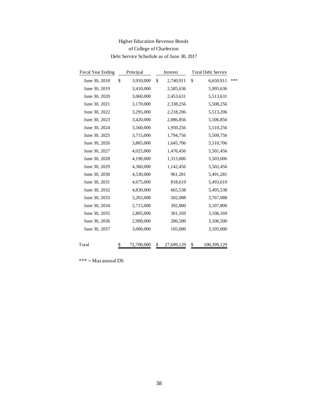## Higher Education Revenue Bonds of College of Charleston Debt Service Schedule as of June 30, 2017

| Principal       |            | Interest      |            | <b>Total Debt Service</b> |             |
|-----------------|------------|---------------|------------|---------------------------|-------------|
| \$<br>3,910,000 | \$         | 2,740,911     | \$         | 6,650,911                 | ***         |
| 3,410,000       |            | 2,585,636     |            | 5,995,636                 |             |
| 3,060,000       |            | 2,453,631     |            | 5,513,631                 |             |
| 3,170,000       |            | 2,338,256     |            | 5,508,256                 |             |
| 3,295,000       |            | 2,218,206     |            | 5,513,206                 |             |
| 3,420,000       |            | 2,086,856     |            | 5,506,856                 |             |
| 3,560,000       |            | 1,950,256     |            | 5,510,256                 |             |
| 3,715,000       |            | 1,794,756     |            | 5,509,756                 |             |
| 3,865,000       |            | 1,645,706     |            | 5,510,706                 |             |
| 4,025,000       |            | 1,476,456     |            | 5,501,456                 |             |
| 4,190,000       |            | 1,313,006     |            | 5,503,006                 |             |
| 4,360,000       |            | 1,142,456     |            | 5,502,456                 |             |
| 4,530,000       |            | 961,281       |            | 5,491,281                 |             |
| 4,675,000       |            | 818,619       |            | 5,493,619                 |             |
| 4,830,000       |            | 665,538       |            | 5,495,538                 |             |
| 3,265,000       |            | 502,088       |            | 3,767,088                 |             |
| 2,715,000       |            | 392,800       |            | 3,107,800                 |             |
| 2,805,000       |            | 301,169       |            | 3,106,169                 |             |
| 2,900,000       |            | 206,500       |            | 3,106,500                 |             |
| 3,000,000       |            | 105,000       |            | 3,105,000                 |             |
|                 |            |               |            |                           |             |
| \$              | 72,700,000 | $\frac{1}{2}$ | 27,699,129 | \$                        | 100,399,129 |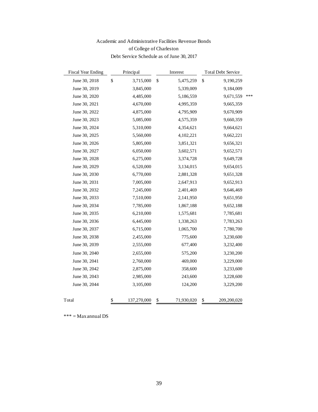## Academic and Administrative Facilities Revenue Bonds of College of Charleston Debt Service Schedule as of June 30, 2017

| <b>Fiscal Year Ending</b> | Principal         | Interest         | <b>Total Debt Service</b> |     |
|---------------------------|-------------------|------------------|---------------------------|-----|
| June 30, 2018             | \$<br>3,715,000   | \$<br>5,475,259  | \$<br>9,190,259           |     |
| June 30, 2019             | 3,845,000         | 5,339,009        | 9,184,009                 |     |
| June 30, 2020             | 4,485,000         | 5,186,559        | 9,671,559                 | *** |
| June 30, 2021             | 4,670,000         | 4,995,359        | 9,665,359                 |     |
| June 30, 2022             | 4,875,000         | 4,795,909        | 9,670,909                 |     |
| June 30, 2023             | 5,085,000         | 4,575,359        | 9,660,359                 |     |
| June 30, 2024             | 5,310,000         | 4,354,621        | 9,664,621                 |     |
| June 30, 2025             | 5,560,000         | 4,102,221        | 9,662,221                 |     |
| June 30, 2026             | 5,805,000         | 3,851,321        | 9,656,321                 |     |
| June 30, 2027             | 6,050,000         | 3,602,571        | 9,652,571                 |     |
| June 30, 2028             | 6,275,000         | 3,374,728        | 9,649,728                 |     |
| June 30, 2029             | 6,520,000         | 3,134,015        | 9,654,015                 |     |
| June 30, 2030             | 6,770,000         | 2,881,328        | 9,651,328                 |     |
| June 30, 2031             | 7,005,000         | 2,647,913        | 9,652,913                 |     |
| June 30, 2032             | 7,245,000         | 2,401,469        | 9,646,469                 |     |
| June 30, 2033             | 7,510,000         | 2,141,950        | 9,651,950                 |     |
| June 30, 2034             | 7,785,000         | 1,867,188        | 9,652,188                 |     |
| June 30, 2035             | 6,210,000         | 1,575,681        | 7,785,681                 |     |
| June 30, 2036             | 6,445,000         | 1,338,263        | 7,783,263                 |     |
| June 30, 2037             | 6,715,000         | 1,065,700        | 7,780,700                 |     |
| June 30, 2038             | 2,455,000         | 775,600          | 3,230,600                 |     |
| June 30, 2039             | 2,555,000         | 677,400          | 3,232,400                 |     |
| June 30, 2040             | 2,655,000         | 575,200          | 3,230,200                 |     |
| June 30, 2041             | 2,760,000         | 469,000          | 3,229,000                 |     |
| June 30, 2042             | 2,875,000         | 358,600          | 3,233,600                 |     |
| June 30, 2043             | 2,985,000         | 243,600          | 3,228,600                 |     |
| June 30, 2044             | 3,105,000         | 124,200          | 3,229,200                 |     |
| Total                     | \$<br>137,270,000 | \$<br>71,930,020 | \$<br>209,200,020         |     |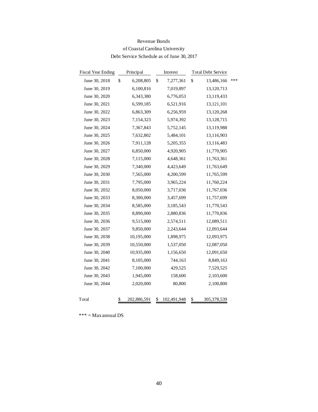| Revenue Bonds                             |  |
|-------------------------------------------|--|
| of Coastal Carolina University            |  |
| Debt Service Schedule as of June 30, 2017 |  |

| Fiscal Year Ending | Principal         | Interest          | <b>Total Debt Service</b> |     |
|--------------------|-------------------|-------------------|---------------------------|-----|
| June 30, 2018      | \$<br>6,208,805   | \$<br>7,277,361   | \$<br>13,486,166          | *** |
| June 30, 2019      | 6,100,816         | 7,019,897         | 13,120,713                |     |
| June 30, 2020      | 6,343,380         | 6,776,053         | 13,119,433                |     |
| June 30, 2021      | 6,599,185         | 6,521,916         | 13,121,101                |     |
| June 30, 2022      | 6,863,309         | 6,256,959         | 13,120,268                |     |
| June 30, 2023      | 7,154,323         | 5,974,392         | 13,128,715                |     |
| June 30, 2024      | 7,367,843         | 5,752,145         | 13,119,988                |     |
| June 30, 2025      | 7,632,802         | 5,484,101         | 13,116,903                |     |
| June 30, 2026      | 7,911,128         | 5,205,355         | 13,116,483                |     |
| June 30, 2027      | 6,850,000         | 4,920,905         | 11,770,905                |     |
| June 30, 2028      | 7,115,000         | 4,648,361         | 11,763,361                |     |
| June 30, 2029      | 7,340,000         | 4,423,649         | 11,763,649                |     |
| June 30, 2030      | 7,565,000         | 4,200,599         | 11,765,599                |     |
| June 30, 2031      | 7,795,000         | 3,965,224         | 11,760,224                |     |
| June 30, 2032      | 8,050,000         | 3,717,036         | 11,767,036                |     |
| June 30, 2033      | 8,300,000         | 3,457,699         | 11,757,699                |     |
| June 30, 2034      | 8,585,000         | 3,185,543         | 11,770,543                |     |
| June 30, 2035      | 8,890,000         | 2,880,836         | 11,770,836                |     |
| June 30, 2036      | 9,515,000         | 2,574,511         | 12,089,511                |     |
| June 30, 2037      | 9,850,000         | 2,243,644         | 12,093,644                |     |
| June 30, 2038      | 10,195,000        | 1,898,975         | 12,093,975                |     |
| June 30, 2039      | 10,550,000        | 1,537,050         | 12,087,050                |     |
| June 30, 2040      | 10,935,000        | 1,156,650         | 12,091,650                |     |
| June 30, 2041      | 8,105,000         | 744,163           | 8,849,163                 |     |
| June 30, 2042      | 7,100,000         | 429,525           | 7,529,525                 |     |
| June 30, 2043      | 1,945,000         | 158,600           | 2,103,600                 |     |
| June 30, 2044      | 2,020,000         | 80,800            | 2,100,800                 |     |
| Total              | \$<br>202,886,591 | \$<br>102,491,948 | \$<br>305,378,539         |     |
|                    |                   |                   |                           |     |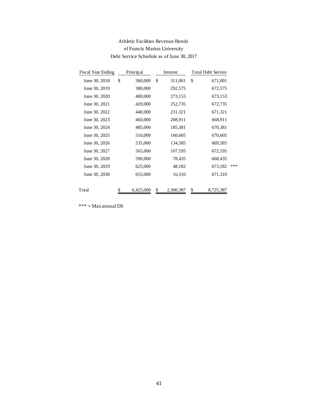## Athletic Facilities Revenue Bonds of Francis Marion University Debt Service Schedule as of June 30, 2017

| <b>Fiscal Year Ending</b> | Principal       |    | Interest  | <b>Total Debt Service</b> |     |
|---------------------------|-----------------|----|-----------|---------------------------|-----|
| June 30, 2018             | \$<br>360,000   | \$ | 311,001   | \$<br>671,001             |     |
| June 30, 2019             | 380,000         |    | 292,575   | 672,575                   |     |
| June 30, 2020             | 400,000         |    | 273,153   | 673,153                   |     |
| June 30, 2021             | 420,000         |    | 252,735   | 672,735                   |     |
| June 30, 2022             | 440,000         |    | 231,321   | 671,321                   |     |
| June 30, 2023             | 460,000         |    | 208,911   | 668,911                   |     |
| June 30, 2024             | 485,000         |    | 185,381   | 670,381                   |     |
| June 30, 2025             | 510,000         |    | 160,605   | 670,605                   |     |
| June 30, 2026             | 535,000         |    | 134,585   | 669,585                   |     |
| June 30, 2027             | 565,000         |    | 107,195   | 672,195                   |     |
| June 30, 2028             | 590,000         |    | 78,435    | 668,435                   |     |
| June 30, 2029             | 625,000         |    | 48,182    | 673,182                   | *** |
| June 30, 2030             | 655,000         |    | 16,310    | 671,310                   |     |
| Total                     | \$<br>6,425,000 | \$ | 2,300,387 | \$<br>8,725,387           |     |
|                           |                 |    |           |                           |     |
|                           |                 | 41 |           |                           |     |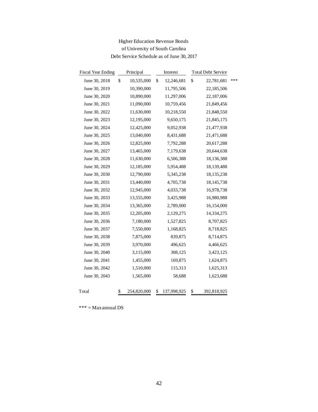## Higher Education Revenue Bonds of University of South Carolina Debt Service Schedule as of June 30, 2017

| <b>Fiscal Year Ending</b> | Principal |             | Interest          |    | <b>Total Debt Service</b> |     |  |
|---------------------------|-----------|-------------|-------------------|----|---------------------------|-----|--|
| June 30, 2018             | \$        | 10,535,000  | \$<br>12,246,681  | \$ | 22,781,681                | *** |  |
| June 30, 2019             |           | 10,390,000  | 11,795,506        |    | 22,185,506                |     |  |
| June 30, 2020             |           | 10,890,000  | 11,297,006        |    | 22,187,006                |     |  |
| June 30, 2021             |           | 11,090,000  | 10,759,456        |    | 21,849,456                |     |  |
| June 30, 2022             |           | 11,630,000  | 10,218,550        |    | 21,848,550                |     |  |
| June 30, 2023             |           | 12,195,000  | 9,650,175         |    | 21,845,175                |     |  |
| June 30, 2024             |           | 12,425,000  | 9,052,938         |    | 21,477,938                |     |  |
| June 30, 2025             |           | 13,040,000  | 8,431,688         |    | 21,471,688                |     |  |
| June 30, 2026             |           | 12,825,000  | 7,792,288         |    | 20,617,288                |     |  |
| June 30, 2027             |           | 13,465,000  | 7,179,638         |    | 20,644,638                |     |  |
| June 30, 2028             |           | 11,630,000  | 6,506,388         |    | 18,136,388                |     |  |
| June 30, 2029             |           | 12,185,000  | 5,954,488         |    | 18,139,488                |     |  |
| June 30, 2030             |           | 12,790,000  | 5,345,238         |    | 18, 135, 238              |     |  |
| June 30, 2031             |           | 13,440,000  | 4,705,738         |    | 18, 145, 738              |     |  |
| June 30, 2032             |           | 12,945,000  | 4,033,738         |    | 16,978,738                |     |  |
| June 30, 2033             |           | 13,555,000  | 3,425,988         |    | 16,980,988                |     |  |
| June 30, 2034             |           | 13,365,000  | 2,789,000         |    | 16,154,000                |     |  |
| June 30, 2035             |           | 12,205,000  | 2,129,275         |    | 14,334,275                |     |  |
| June 30, 2036             |           | 7,180,000   | 1,527,825         |    | 8,707,825                 |     |  |
| June 30, 2037             |           | 7,550,000   | 1,168,825         |    | 8,718,825                 |     |  |
| June 30, 2038             |           | 7,875,000   | 839,875           |    | 8,714,875                 |     |  |
| June 30, 2039             |           | 3,970,000   | 496,625           |    | 4,466,625                 |     |  |
| June 30, 2040             |           | 3,115,000   | 308,125           |    | 3,423,125                 |     |  |
| June 30, 2041             |           | 1,455,000   | 169,875           |    | 1,624,875                 |     |  |
| June 30, 2042             |           | 1,510,000   | 115,313           |    | 1,625,313                 |     |  |
| June 30, 2043             |           | 1,565,000   | 58,688            |    | 1,623,688                 |     |  |
| Total                     | \$        | 254,820,000 | \$<br>137,998,925 | \$ | 392,818,925               |     |  |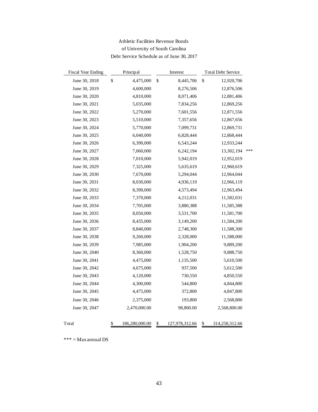## Athletic Facilities Revenue Bonds of University of South Carolina Debt Service Schedule as of June 30, 2017

| <b>Fiscal Year Ending</b> | Principal            | Interest             | <b>Total Debt Service</b> |     |
|---------------------------|----------------------|----------------------|---------------------------|-----|
| June 30, 2018             | \$<br>4,475,000      | \$<br>8,445,706      | \$<br>12,920,706          |     |
| June 30, 2019             | 4,600,000            | 8,276,506            | 12,876,506                |     |
| June 30, 2020             | 4,810,000            | 8,071,406            | 12,881,406                |     |
| June 30, 2021             | 5,035,000            | 7,834,256            | 12,869,256                |     |
| June 30, 2022             | 5,270,000            | 7,601,556            | 12,871,556                |     |
| June 30, 2023             | 5,510,000            | 7,357,656            | 12,867,656                |     |
| June 30, 2024             | 5,770,000            | 7,099,731            | 12,869,731                |     |
| June 30, 2025             | 6,040,000            | 6,828,444            | 12,868,444                |     |
| June 30, 2026             | 6,390,000            | 6,543,244            | 12,933,244                |     |
| June 30, 2027             | 7,060,000            | 6,242,194            | 13,302,194                | *** |
| June 30, 2028             | 7,010,000            | 5,942,019            | 12,952,019                |     |
| June 30, 2029             | 7,325,000            | 5,635,619            | 12,960,619                |     |
| June 30, 2030             | 7,670,000            | 5,294,044            | 12,964,044                |     |
| June 30, 2031             | 8,030,000            | 4,936,119            | 12,966,119                |     |
| June 30, 2032             | 8,390,000            | 4,573,494            | 12,963,494                |     |
| June 30, 2033             | 7,370,000            | 4,212,031            | 11,582,031                |     |
| June 30, 2034             | 7,705,000            | 3,880,388            | 11,585,388                |     |
| June 30, 2035             | 8,050,000            | 3,531,700            | 11,581,700                |     |
| June 30, 2036             | 8,435,000            | 3,149,200            | 11,584,200                |     |
| June 30, 2037             | 8,840,000            | 2,748,300            | 11,588,300                |     |
| June 30, 2038             | 9,260,000            | 2,328,000            | 11,588,000                |     |
| June 30, 2039             | 7,985,000            | 1,904,200            | 9,889,200                 |     |
| June 30, 2040             | 8,360,000            | 1,528,750            | 9,888,750                 |     |
| June 30, 2041             | 4,475,000            | 1,135,500            | 5,610,500                 |     |
| June 30, 2042             | 4,675,000            | 937,500              | 5,612,500                 |     |
| June 30, 2043             | 4,120,000            | 730,550              | 4,850,550                 |     |
| June 30, 2044             | 4,300,000            | 544,800              | 4,844,800                 |     |
| June 30, 2045             | 4,475,000            | 372,800              | 4,847,800                 |     |
| June 30, 2046             | 2,375,000            | 193,800              | 2,568,800                 |     |
| June 30, 2047             | 2,470,000.00         | 98,800.00            | 2,568,800.00              |     |
| Total                     | \$<br>186,280,000.00 | \$<br>127,978,312.66 | \$<br>314,258,312.66      |     |
|                           |                      |                      |                           |     |

 $\ast\ast\ast=\mathop{\mathbf{Max}}$ annual DS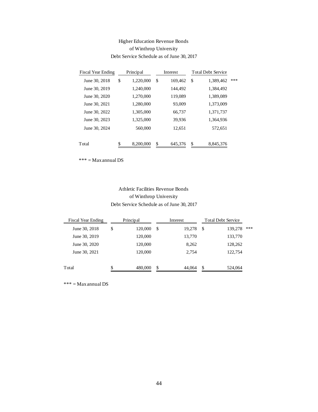## Higher Education Revenue Bonds of Winthrop University Debt Service Schedule as of June 30, 2017

| <b>Fiscal Year Ending</b> | Principal                                 |    | Interest |        | <b>Total Debt Service</b> |       |
|---------------------------|-------------------------------------------|----|----------|--------|---------------------------|-------|
| June 30, 2018             | \$<br>1,220,000                           | \$ | 169,462  | \$     | 1,389,462                 | ***   |
| June 30, 2019             | 1,240,000                                 |    | 144,492  |        | 1,384,492                 |       |
| June 30, 2020             | 1,270,000                                 |    | 119,089  |        | 1,389,089                 |       |
| June 30, 2021             | 1,280,000                                 |    | 93,009   |        | 1,373,009                 |       |
| June 30, 2022             | 1,305,000                                 |    | 66,737   |        | 1,371,737                 |       |
| June 30, 2023             | 1,325,000                                 |    | 39,936   |        | 1,364,936                 |       |
| June 30, 2024             | 560,000                                   |    | 12,651   |        | 572,651                   |       |
| Total                     | \$<br>8,200,000                           | \$ | 645,376  | \$     | 8,845,376                 |       |
| $*** = Max annual DS$     |                                           |    |          |        |                           |       |
|                           |                                           |    |          |        |                           |       |
|                           |                                           |    |          |        |                           |       |
|                           | Athletic Facilities Revenue Bonds         |    |          |        |                           |       |
|                           | of Winthrop University                    |    |          |        |                           |       |
|                           | Debt Service Schedule as of June 30, 2017 |    |          |        |                           |       |
| al Year Ending            | Principal                                 |    | Interest |        | <b>Total Debt Servic</b>  |       |
| ne 30, 2018               | \$<br>120,000                             | \$ |          | 19,278 | \$                        | 139,2 |
| ne 30, 2019               | 120,000                                   |    |          | 13,770 |                           | 133,7 |
| ne 30, 2020               | 120,000                                   |    |          | 8,262  |                           | 128,2 |
| ne 30, 2021               | 120,000                                   |    |          | 2,754  |                           | 122,7 |
|                           | \$<br>480,000                             | \$ |          | 44,064 | \$                        | 524,0 |
| Max annual DS             |                                           |    |          |        |                           |       |
|                           |                                           |    |          |        |                           |       |
|                           |                                           |    |          |        |                           |       |
|                           |                                           |    |          |        |                           |       |
|                           |                                           |    |          |        |                           |       |
|                           |                                           |    |          |        |                           |       |
|                           |                                           |    |          |        |                           |       |
|                           |                                           |    |          |        |                           |       |
|                           |                                           |    |          |        |                           |       |
|                           |                                           |    |          |        |                           |       |
|                           |                                           |    |          |        |                           |       |
|                           |                                           |    |          |        |                           |       |
|                           |                                           | 44 |          |        |                           |       |

## Athletic Facilities Revenue Bonds of Winthrop University Debt Service Schedule as of June 30, 2017

| <b>Fiscal Year Ending</b> | Principal     | Interest     |     | <b>Total Debt Service</b> |     |
|---------------------------|---------------|--------------|-----|---------------------------|-----|
| June 30, 2018             | \$<br>120,000 | \$<br>19,278 | S   | 139,278                   | *** |
| June 30, 2019             | 120,000       | 13,770       |     | 133,770                   |     |
| June 30, 2020             | 120,000       | 8,262        |     | 128,262                   |     |
| June 30, 2021             | 120,000       | 2,754        |     | 122,754                   |     |
| Total                     | \$<br>480,000 | \$<br>44.064 | \$. | 524,064                   |     |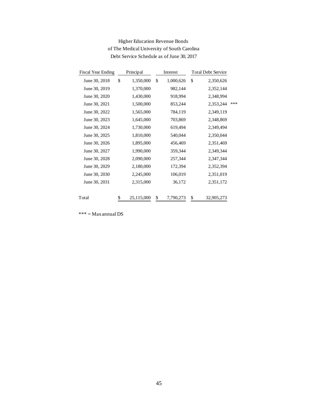| <b>Fiscal Year Ending</b> | Principal        |    | Interest  | <b>Total Debt Service</b> |     |
|---------------------------|------------------|----|-----------|---------------------------|-----|
| June 30, 2018             | \$<br>1,350,000  | \$ | 1,000,626 | \$<br>2,350,626           |     |
| June 30, 2019             | 1,370,000        |    | 982,144   | 2,352,144                 |     |
| June 30, 2020             | 1,430,000        |    | 918,994   | 2,348,994                 |     |
| June 30, 2021             | 1,500,000        |    | 853,244   | 2,353,244                 | *** |
| June 30, 2022             | 1,565,000        |    | 784,119   | 2,349,119                 |     |
| June 30, 2023             | 1,645,000        |    | 703,869   | 2,348,869                 |     |
| June 30, 2024             | 1,730,000        |    | 619,494   | 2,349,494                 |     |
| June 30, 2025             | 1,810,000        |    | 540,044   | 2,350,044                 |     |
| June 30, 2026             | 1,895,000        |    | 456,469   | 2,351,469                 |     |
| June 30, 2027             | 1,990,000        |    | 359,344   | 2,349,344                 |     |
| June 30, 2028             | 2,090,000        |    | 257,344   | 2,347,344                 |     |
| June 30, 2029             | 2,180,000        |    | 172,394   | 2,352,394                 |     |
| June 30, 2030             | 2,245,000        |    | 106,019   | 2,351,019                 |     |
| June 30, 2031             | 2,315,000        |    | 36,172    | 2,351,172                 |     |
| Total                     | \$<br>25,115,000 | \$ | 7,790,273 | \$<br>32,905,273          |     |
| $***$ = Max annual DS     |                  |    |           |                           |     |
|                           |                  | 45 |           |                           |     |

## Higher Education Revenue Bonds of The Medical University of South Carolina Debt Service Schedule as of June 30, 2017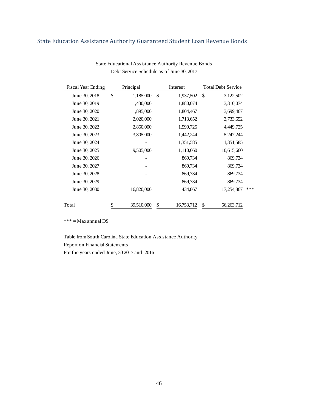## <span id="page-46-0"></span>State Education Assistance Authority Guaranteed Student Loan Revenue Bonds

| <b>Fiscal Year Ending</b> | Principal       | Interest        | <b>Total Debt Service</b> |     |
|---------------------------|-----------------|-----------------|---------------------------|-----|
| June 30, 2018             | \$<br>1,185,000 | \$<br>1,937,502 | \$<br>3,122,502           |     |
| June 30, 2019             | 1,430,000       | 1,880,074       | 3,310,074                 |     |
| June 30, 2020             | 1,895,000       | 1,804,467       | 3,699,467                 |     |
| June 30, 2021             | 2,020,000       | 1,713,652       | 3,733,652                 |     |
| June 30, 2022             | 2,850,000       | 1,599,725       | 4,449,725                 |     |
| June 30, 2023             | 3,805,000       | 1,442,244       | 5,247,244                 |     |
| June 30, 2024             |                 | 1,351,585       | 1,351,585                 |     |
| June 30, 2025             | 9,505,000       | 1,110,660       | 10,615,660                |     |
| June 30, 2026             |                 | 869,734         | 869,734                   |     |
| June 30, 2027             |                 | 869,734         | 869,734                   |     |
| June 30, 2028             |                 | 869,734         | 869,734                   |     |
| June 30, 2029             |                 | 869,734         | 869,734                   |     |
| June 30, 2030             | 16,820,000      | 434,867         | 17,254,867                | *** |
| Total                     | 39,510,000      | 16,753,712      | \$<br>56, 263, 712        |     |

#### State Educational Assistance Authority Revenue Bonds Debt Service Schedule as of June 30, 2017

\*\*\* = Max annual DS

Table from South Carolina State Education Assistance Authority Report on Financial Statements For the years ended June, 30 2017 and 2016